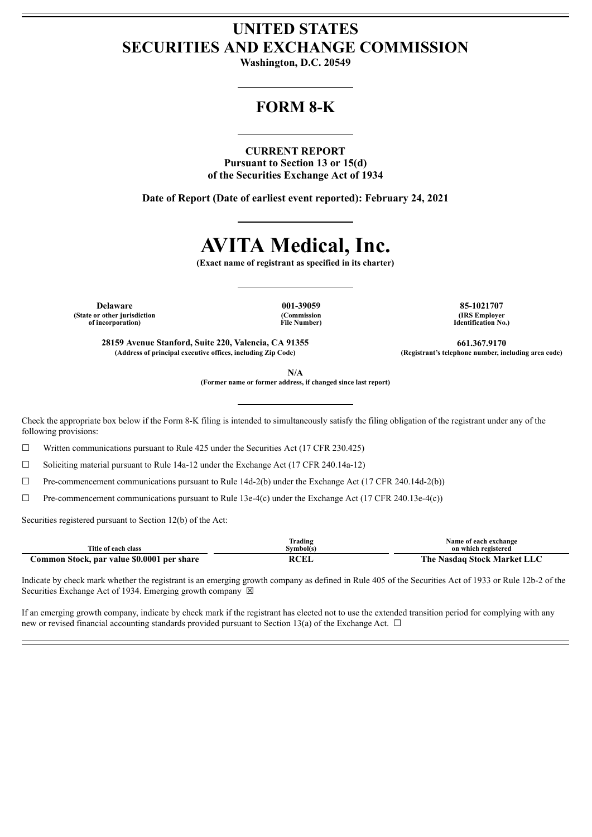# **UNITED STATES SECURITIES AND EXCHANGE COMMISSION**

**Washington, D.C. 20549**

## **FORM 8-K**

**CURRENT REPORT Pursuant to Section 13 or 15(d) of the Securities Exchange Act of 1934**

**Date of Report (Date of earliest event reported): February 24, 2021**

# **AVITA Medical, Inc.**

**(Exact name of registrant as specified in its charter)**

**Delaware 001-39059 85-1021707 (State or other jurisdiction of incorporation)**

**(Commission File Number)**

**(IRS Employer Identification No.)**

**28159 Avenue Stanford, Suite 220, Valencia, CA 91355 661.367.9170 (Address of principal executive offices, including Zip Code) (Registrant's telephone number, including area code)**

**N/A**

**(Former name or former address, if changed since last report)**

Check the appropriate box below if the Form 8-K filing is intended to simultaneously satisfy the filing obligation of the registrant under any of the following provisions:

 $\Box$  Written communications pursuant to Rule 425 under the Securities Act (17 CFR 230.425)

☐ Soliciting material pursuant to Rule 14a-12 under the Exchange Act (17 CFR 240.14a-12)

 $\Box$  Pre-commencement communications pursuant to Rule 14d-2(b) under the Exchange Act (17 CFR 240.14d-2(b))

 $\Box$  Pre-commencement communications pursuant to Rule 13e-4(c) under the Exchange Act (17 CFR 240.13e-4(c))

Securities registered pursuant to Section 12(b) of the Act:

|                                            | Frading     | Name of each exchange       |
|--------------------------------------------|-------------|-----------------------------|
| Title of each class                        | Svmbol(s)   | on which registered         |
| Common Stock, par value \$0.0001 per share | <b>RCEL</b> | The Nasdaq Stock Market LLC |

Indicate by check mark whether the registrant is an emerging growth company as defined in Rule 405 of the Securities Act of 1933 or Rule 12b-2 of the Securities Exchange Act of 1934. Emerging growth company  $\boxtimes$ 

If an emerging growth company, indicate by check mark if the registrant has elected not to use the extended transition period for complying with any new or revised financial accounting standards provided pursuant to Section 13(a) of the Exchange Act.  $\Box$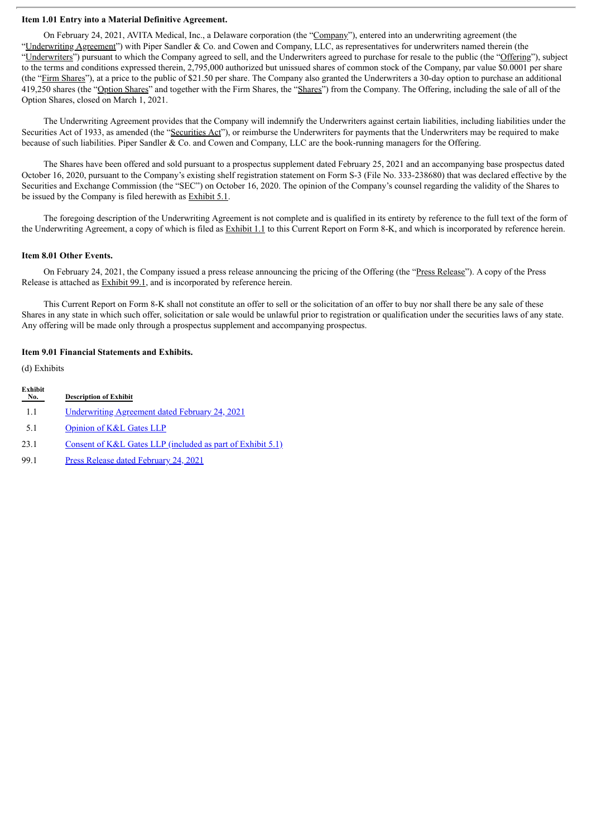## **Item 1.01 Entry into a Material Definitive Agreement.**

On February 24, 2021, AVITA Medical, Inc., a Delaware corporation (the "Company"), entered into an underwriting agreement (the "Underwriting Agreement") with Piper Sandler & Co. and Cowen and Company, LLC, as representatives for underwriters named therein (the "Underwriters") pursuant to which the Company agreed to sell, and the Underwriters agreed to purchase for resale to the public (the "Offering"), subject to the terms and conditions expressed therein, 2,795,000 authorized but unissued shares of common stock of the Company, par value \$0.0001 per share (the "Firm Shares"), at a price to the public of \$21.50 per share. The Company also granted the Underwriters a 30-day option to purchase an additional 419,250 shares (the "Option Shares" and together with the Firm Shares, the "Shares") from the Company. The Offering, including the sale of all of the Option Shares, closed on March 1, 2021.

The Underwriting Agreement provides that the Company will indemnify the Underwriters against certain liabilities, including liabilities under the Securities Act of 1933, as amended (the "Securities Act"), or reimburse the Underwriters for payments that the Underwriters may be required to make because of such liabilities. Piper Sandler & Co. and Cowen and Company, LLC are the book-running managers for the Offering.

The Shares have been offered and sold pursuant to a prospectus supplement dated February 25, 2021 and an accompanying base prospectus dated October 16, 2020, pursuant to the Company's existing shelf registration statement on Form S-3 (File No. 333-238680) that was declared effective by the Securities and Exchange Commission (the "SEC") on October 16, 2020. The opinion of the Company's counsel regarding the validity of the Shares to be issued by the Company is filed herewith as **Exhibit 5.1**.

The foregoing description of the Underwriting Agreement is not complete and is qualified in its entirety by reference to the full text of the form of the Underwriting Agreement, a copy of which is filed as Exhibit 1.1 to this Current Report on Form 8-K, and which is incorporated by reference herein.

## **Item 8.01 Other Events.**

On February 24, 2021, the Company issued a press release announcing the pricing of the Offering (the "Press Release"). A copy of the Press Release is attached as Exhibit 99.1, and is incorporated by reference herein.

This Current Report on Form 8-K shall not constitute an offer to sell or the solicitation of an offer to buy nor shall there be any sale of these Shares in any state in which such offer, solicitation or sale would be unlawful prior to registration or qualification under the securities laws of any state. Any offering will be made only through a prospectus supplement and accompanying prospectus.

## **Item 9.01 Financial Statements and Exhibits.**

(d) Exhibits

| Exhibit<br>No. | <b>Description of Exhibit</b>                              |
|----------------|------------------------------------------------------------|
| 1.1            | <u>Underwriting Agreement dated February 24, 2021</u>      |
| 5.1            | Opinion of K&L Gates LLP                                   |
| 23.1           | Consent of K&L Gates LLP (included as part of Exhibit 5.1) |
| 991            | Press Release dated February 24, 2021                      |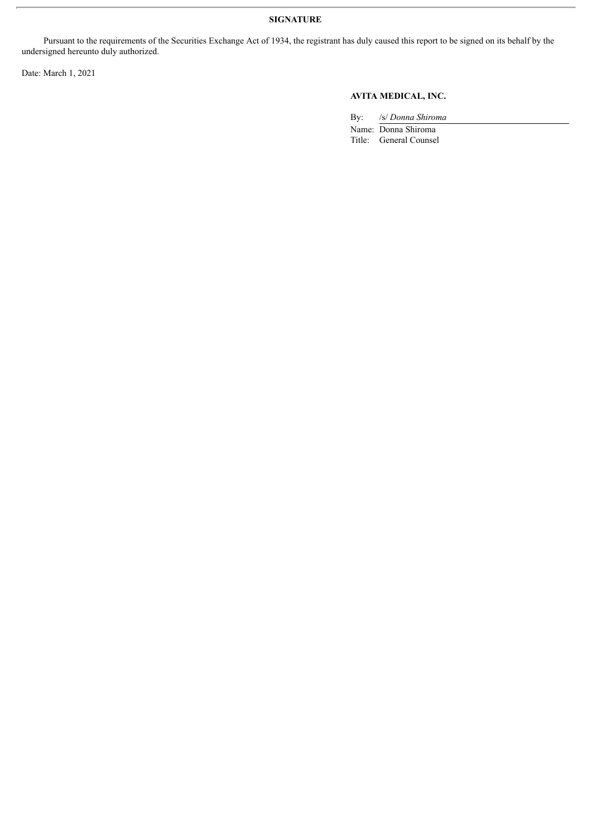## **SIGNATURE**

Pursuant to the requirements of the Securities Exchange Act of 1934, the registrant has duly caused this report to be signed on its behalf by the undersigned hereunto duly authorized.

Date: March 1, 2021

## **AVITA MEDICAL, INC.**

By: /s/ *Donna Shiroma*

Name: Donna Shiroma Title: General Counsel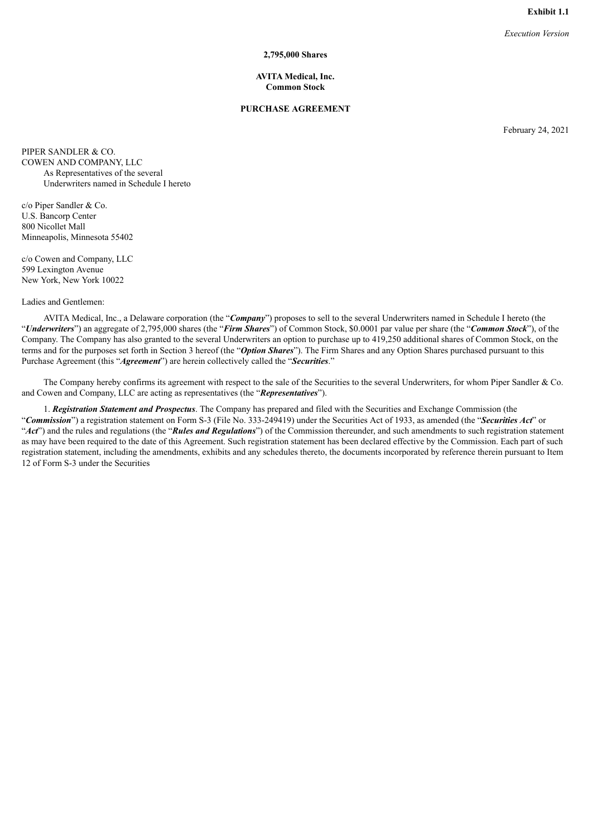*Execution Version*

#### **2,795,000 Shares**

#### **AVITA Medical, Inc. Common Stock**

#### **PURCHASE AGREEMENT**

February 24, 2021

<span id="page-3-0"></span>PIPER SANDLER & CO. COWEN AND COMPANY, LLC As Representatives of the several Underwriters named in Schedule I hereto

c/o Piper Sandler & Co. U.S. Bancorp Center 800 Nicollet Mall Minneapolis, Minnesota 55402

c/o Cowen and Company, LLC 599 Lexington Avenue New York, New York 10022

Ladies and Gentlemen:

AVITA Medical, Inc., a Delaware corporation (the "*Company*") proposes to sell to the several Underwriters named in Schedule I hereto (the "*Underwriters*") an aggregate of 2,795,000 shares (the "*Firm Shares*") of Common Stock, \$0.0001 par value per share (the "*Common Stock*"), of the Company. The Company has also granted to the several Underwriters an option to purchase up to 419,250 additional shares of Common Stock, on the terms and for the purposes set forth in Section 3 hereof (the "*Option Shares*"). The Firm Shares and any Option Shares purchased pursuant to this Purchase Agreement (this "*Agreement*") are herein collectively called the "*Securities*."

The Company hereby confirms its agreement with respect to the sale of the Securities to the several Underwriters, for whom Piper Sandler & Co. and Cowen and Company, LLC are acting as representatives (the "*Representatives*").

1. *Registration Statement and Prospectus*. The Company has prepared and filed with the Securities and Exchange Commission (the "*Commission*") a registration statement on Form S-3 (File No. 333-249419) under the Securities Act of 1933, as amended (the "*Securities Act*" or "*Act*") and the rules and regulations (the "*Rules and Regulations*") of the Commission thereunder, and such amendments to such registration statement as may have been required to the date of this Agreement. Such registration statement has been declared effective by the Commission. Each part of such registration statement, including the amendments, exhibits and any schedules thereto, the documents incorporated by reference therein pursuant to Item 12 of Form S-3 under the Securities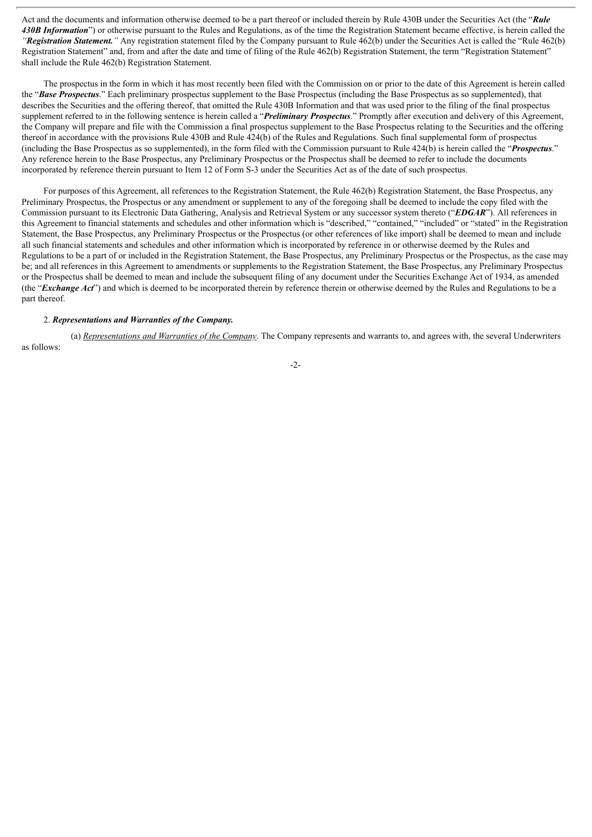Act and the documents and information otherwise deemed to be a part thereof or included therein by Rule 430B under the Securities Act (the "*Rule 430B Information*") or otherwise pursuant to the Rules and Regulations, as of the time the Registration Statement became effective, is herein called the *"Registration Statement."* Any registration statement filed by the Company pursuant to Rule 462(b) under the Securities Act is called the "Rule 462(b) Registration Statement" and, from and after the date and time of filing of the Rule 462(b) Registration Statement, the term "Registration Statement" shall include the Rule 462(b) Registration Statement.

The prospectus in the form in which it has most recently been filed with the Commission on or prior to the date of this Agreement is herein called the "*Base Prospectus*." Each preliminary prospectus supplement to the Base Prospectus (including the Base Prospectus as so supplemented), that describes the Securities and the offering thereof, that omitted the Rule 430B Information and that was used prior to the filing of the final prospectus supplement referred to in the following sentence is herein called a "*Preliminary Prospectus*." Promptly after execution and delivery of this Agreement, the Company will prepare and file with the Commission a final prospectus supplement to the Base Prospectus relating to the Securities and the offering thereof in accordance with the provisions Rule 430B and Rule 424(b) of the Rules and Regulations. Such final supplemental form of prospectus (including the Base Prospectus as so supplemented), in the form filed with the Commission pursuant to Rule 424(b) is herein called the "*Prospectus*." Any reference herein to the Base Prospectus, any Preliminary Prospectus or the Prospectus shall be deemed to refer to include the documents incorporated by reference therein pursuant to Item 12 of Form S-3 under the Securities Act as of the date of such prospectus.

For purposes of this Agreement, all references to the Registration Statement, the Rule 462(b) Registration Statement, the Base Prospectus, any Preliminary Prospectus, the Prospectus or any amendment or supplement to any of the foregoing shall be deemed to include the copy filed with the Commission pursuant to its Electronic Data Gathering, Analysis and Retrieval System or any successor system thereto ("*EDGAR*"). All references in this Agreement to financial statements and schedules and other information which is "described," "contained," "included" or "stated" in the Registration Statement, the Base Prospectus, any Preliminary Prospectus or the Prospectus (or other references of like import) shall be deemed to mean and include all such financial statements and schedules and other information which is incorporated by reference in or otherwise deemed by the Rules and Regulations to be a part of or included in the Registration Statement, the Base Prospectus, any Preliminary Prospectus or the Prospectus, as the case may be; and all references in this Agreement to amendments or supplements to the Registration Statement, the Base Prospectus, any Preliminary Prospectus or the Prospectus shall be deemed to mean and include the subsequent filing of any document under the Securities Exchange Act of 1934, as amended (the "*Exchange Act*") and which is deemed to be incorporated therein by reference therein or otherwise deemed by the Rules and Regulations to be a part thereof.

## 2. *Representations and Warranties of the Company.*

(a) *Representations and Warranties of the Company*. The Company represents and warrants to, and agrees with, the several Underwriters as follows:

-2-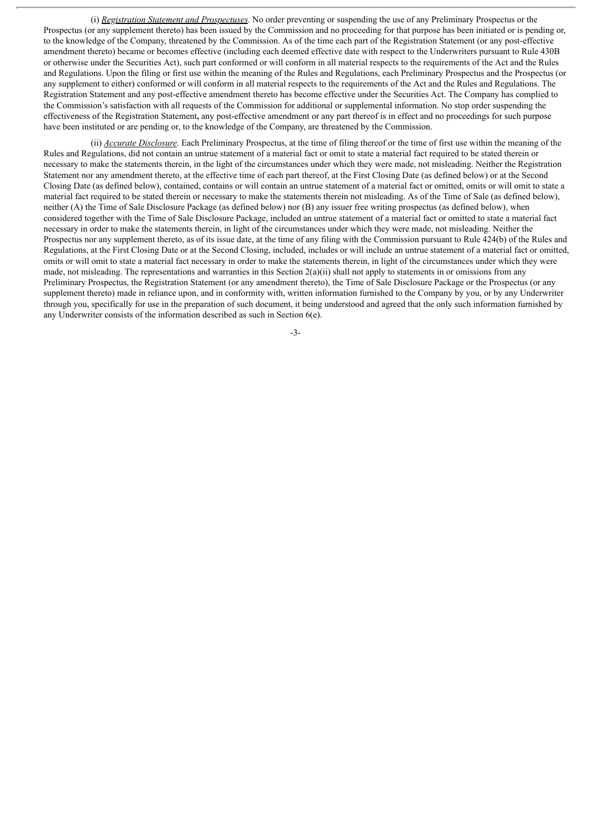(i) *Registration Statement and Prospectuses*. No order preventing or suspending the use of any Preliminary Prospectus or the Prospectus (or any supplement thereto) has been issued by the Commission and no proceeding for that purpose has been initiated or is pending or, to the knowledge of the Company, threatened by the Commission. As of the time each part of the Registration Statement (or any post-effective amendment thereto) became or becomes effective (including each deemed effective date with respect to the Underwriters pursuant to Rule 430B or otherwise under the Securities Act), such part conformed or will conform in all material respects to the requirements of the Act and the Rules and Regulations. Upon the filing or first use within the meaning of the Rules and Regulations, each Preliminary Prospectus and the Prospectus (or any supplement to either) conformed or will conform in all material respects to the requirements of the Act and the Rules and Regulations. The Registration Statement and any post-effective amendment thereto has become effective under the Securities Act. The Company has complied to the Commission's satisfaction with all requests of the Commission for additional or supplemental information. No stop order suspending the effectiveness of the Registration Statement**,** any post-effective amendment or any part thereof is in effect and no proceedings for such purpose have been instituted or are pending or, to the knowledge of the Company, are threatened by the Commission.

(ii) *Accurate Disclosure*. Each Preliminary Prospectus, at the time of filing thereof or the time of first use within the meaning of the Rules and Regulations, did not contain an untrue statement of a material fact or omit to state a material fact required to be stated therein or necessary to make the statements therein, in the light of the circumstances under which they were made, not misleading. Neither the Registration Statement nor any amendment thereto, at the effective time of each part thereof, at the First Closing Date (as defined below) or at the Second Closing Date (as defined below), contained, contains or will contain an untrue statement of a material fact or omitted, omits or will omit to state a material fact required to be stated therein or necessary to make the statements therein not misleading. As of the Time of Sale (as defined below), neither (A) the Time of Sale Disclosure Package (as defined below) nor (B) any issuer free writing prospectus (as defined below), when considered together with the Time of Sale Disclosure Package, included an untrue statement of a material fact or omitted to state a material fact necessary in order to make the statements therein, in light of the circumstances under which they were made, not misleading. Neither the Prospectus nor any supplement thereto, as of its issue date, at the time of any filing with the Commission pursuant to Rule 424(b) of the Rules and Regulations, at the First Closing Date or at the Second Closing, included, includes or will include an untrue statement of a material fact or omitted, omits or will omit to state a material fact necessary in order to make the statements therein, in light of the circumstances under which they were made, not misleading. The representations and warranties in this Section 2(a)(ii) shall not apply to statements in or omissions from any Preliminary Prospectus, the Registration Statement (or any amendment thereto), the Time of Sale Disclosure Package or the Prospectus (or any supplement thereto) made in reliance upon, and in conformity with, written information furnished to the Company by you, or by any Underwriter through you, specifically for use in the preparation of such document, it being understood and agreed that the only such information furnished by any Underwriter consists of the information described as such in Section 6(e).

-3-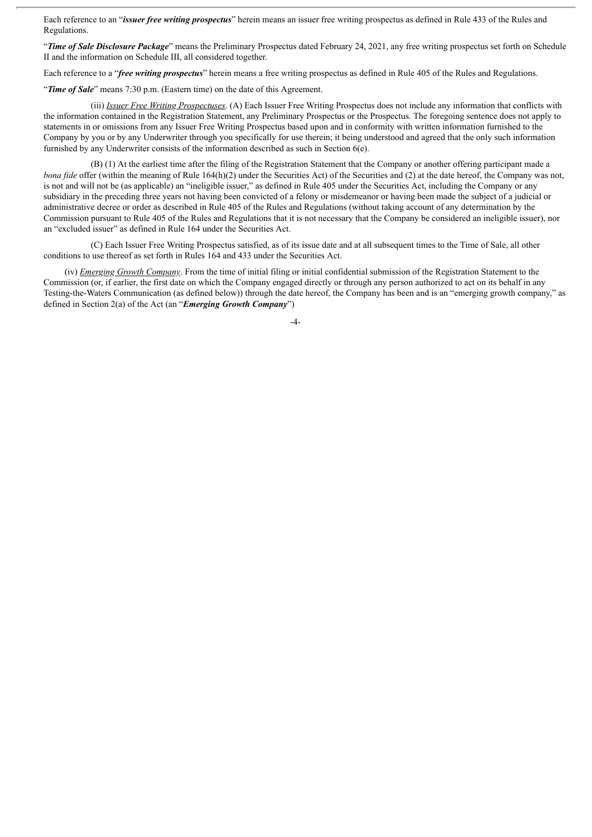Each reference to an "*issuer free writing prospectus*" herein means an issuer free writing prospectus as defined in Rule 433 of the Rules and Regulations.

"*Time of Sale Disclosure Package*" means the Preliminary Prospectus dated February 24, 2021, any free writing prospectus set forth on Schedule II and the information on Schedule III, all considered together.

Each reference to a "*free writing prospectus*" herein means a free writing prospectus as defined in Rule 405 of the Rules and Regulations.

"*Time of Sale*" means 7:30 p.m. (Eastern time) on the date of this Agreement.

(iii) *Issuer Free Writing Prospectuses*. (A) Each Issuer Free Writing Prospectus does not include any information that conflicts with the information contained in the Registration Statement, any Preliminary Prospectus or the Prospectus. The foregoing sentence does not apply to statements in or omissions from any Issuer Free Writing Prospectus based upon and in conformity with written information furnished to the Company by you or by any Underwriter through you specifically for use therein; it being understood and agreed that the only such information furnished by any Underwriter consists of the information described as such in Section 6(e).

(B) (1) At the earliest time after the filing of the Registration Statement that the Company or another offering participant made a *bona fide* offer (within the meaning of Rule 164(h)(2) under the Securities Act) of the Securities and (2) at the date hereof, the Company was not, is not and will not be (as applicable) an "ineligible issuer," as defined in Rule 405 under the Securities Act, including the Company or any subsidiary in the preceding three years not having been convicted of a felony or misdemeanor or having been made the subject of a judicial or administrative decree or order as described in Rule 405 of the Rules and Regulations (without taking account of any determination by the Commission pursuant to Rule 405 of the Rules and Regulations that it is not necessary that the Company be considered an ineligible issuer), nor an "excluded issuer" as defined in Rule 164 under the Securities Act.

(C) Each Issuer Free Writing Prospectus satisfied, as of its issue date and at all subsequent times to the Time of Sale, all other conditions to use thereof as set forth in Rules 164 and 433 under the Securities Act.

(iv) *Emerging Growth Company*. From the time of initial filing or initial confidential submission of the Registration Statement to the Commission (or, if earlier, the first date on which the Company engaged directly or through any person authorized to act on its behalf in any Testing-the-Waters Communication (as defined below)) through the date hereof, the Company has been and is an "emerging growth company," as defined in Section 2(a) of the Act (an "*Emerging Growth Company*")

 $-4-$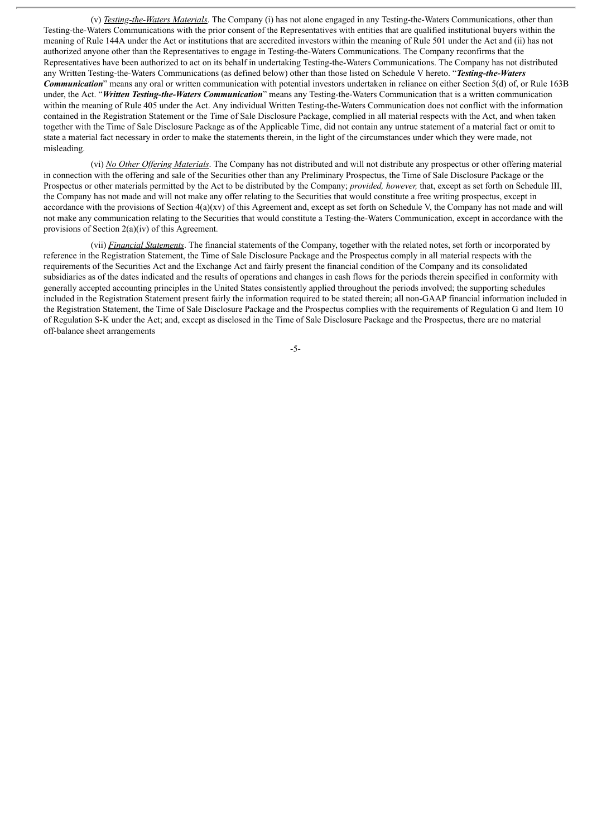(v) *Testing-the-Waters Materials*. The Company (i) has not alone engaged in any Testing-the-Waters Communications, other than Testing-the-Waters Communications with the prior consent of the Representatives with entities that are qualified institutional buyers within the meaning of Rule 144A under the Act or institutions that are accredited investors within the meaning of Rule 501 under the Act and (ii) has not authorized anyone other than the Representatives to engage in Testing-the-Waters Communications. The Company reconfirms that the Representatives have been authorized to act on its behalf in undertaking Testing-the-Waters Communications. The Company has not distributed any Written Testing-the-Waters Communications (as defined below) other than those listed on Schedule V hereto. "*Testing-the-Waters Communication*" means any oral or written communication with potential investors undertaken in reliance on either Section 5(d) of, or Rule 163B under, the Act. "*Written Testing-the-Waters Communication*" means any Testing-the-Waters Communication that is a written communication within the meaning of Rule 405 under the Act. Any individual Written Testing-the-Waters Communication does not conflict with the information contained in the Registration Statement or the Time of Sale Disclosure Package, complied in all material respects with the Act, and when taken together with the Time of Sale Disclosure Package as of the Applicable Time, did not contain any untrue statement of a material fact or omit to state a material fact necessary in order to make the statements therein, in the light of the circumstances under which they were made, not misleading.

(vi) *No Other Of ering Materials*. The Company has not distributed and will not distribute any prospectus or other offering material in connection with the offering and sale of the Securities other than any Preliminary Prospectus, the Time of Sale Disclosure Package or the Prospectus or other materials permitted by the Act to be distributed by the Company; *provided, however,* that, except as set forth on Schedule III, the Company has not made and will not make any offer relating to the Securities that would constitute a free writing prospectus, except in accordance with the provisions of Section 4(a)(xv) of this Agreement and, except as set forth on Schedule V, the Company has not made and will not make any communication relating to the Securities that would constitute a Testing-the-Waters Communication, except in accordance with the provisions of Section 2(a)(iv) of this Agreement.

(vii) *Financial Statements*. The financial statements of the Company, together with the related notes, set forth or incorporated by reference in the Registration Statement, the Time of Sale Disclosure Package and the Prospectus comply in all material respects with the requirements of the Securities Act and the Exchange Act and fairly present the financial condition of the Company and its consolidated subsidiaries as of the dates indicated and the results of operations and changes in cash flows for the periods therein specified in conformity with generally accepted accounting principles in the United States consistently applied throughout the periods involved; the supporting schedules included in the Registration Statement present fairly the information required to be stated therein; all non-GAAP financial information included in the Registration Statement, the Time of Sale Disclosure Package and the Prospectus complies with the requirements of Regulation G and Item 10 of Regulation S-K under the Act; and, except as disclosed in the Time of Sale Disclosure Package and the Prospectus, there are no material off-balance sheet arrangements

-5-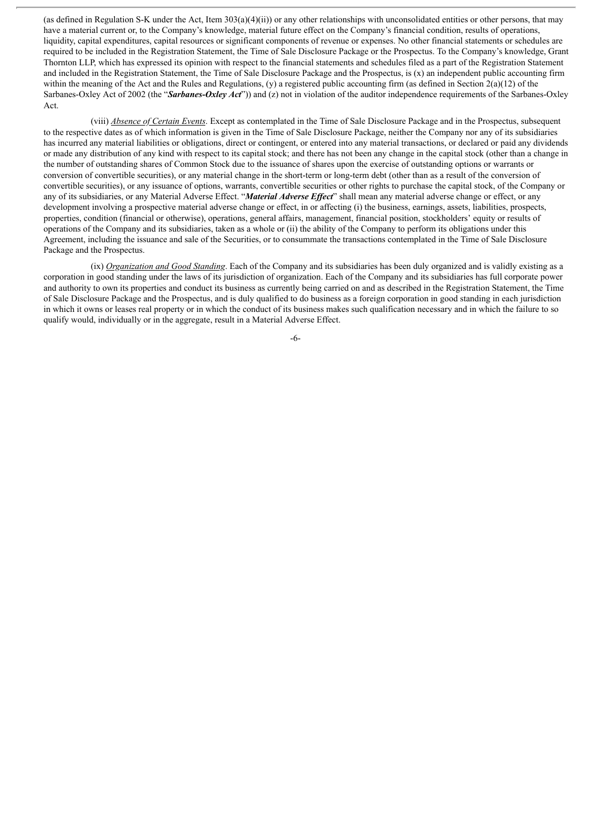(as defined in Regulation S-K under the Act, Item 303(a)(4)(ii)) or any other relationships with unconsolidated entities or other persons, that may have a material current or, to the Company's knowledge, material future effect on the Company's financial condition, results of operations, liquidity, capital expenditures, capital resources or significant components of revenue or expenses. No other financial statements or schedules are required to be included in the Registration Statement, the Time of Sale Disclosure Package or the Prospectus. To the Company's knowledge, Grant Thornton LLP, which has expressed its opinion with respect to the financial statements and schedules filed as a part of the Registration Statement and included in the Registration Statement, the Time of Sale Disclosure Package and the Prospectus, is  $(x)$  an independent public accounting firm within the meaning of the Act and the Rules and Regulations, (y) a registered public accounting firm (as defined in Section 2(a)(12) of the Sarbanes-Oxley Act of 2002 (the "*Sarbanes-Oxley Act*")) and (z) not in violation of the auditor independence requirements of the Sarbanes-Oxley Act.

(viii) *Absence of Certain Events*. Except as contemplated in the Time of Sale Disclosure Package and in the Prospectus, subsequent to the respective dates as of which information is given in the Time of Sale Disclosure Package, neither the Company nor any of its subsidiaries has incurred any material liabilities or obligations, direct or contingent, or entered into any material transactions, or declared or paid any dividends or made any distribution of any kind with respect to its capital stock; and there has not been any change in the capital stock (other than a change in the number of outstanding shares of Common Stock due to the issuance of shares upon the exercise of outstanding options or warrants or conversion of convertible securities), or any material change in the short-term or long-term debt (other than as a result of the conversion of convertible securities), or any issuance of options, warrants, convertible securities or other rights to purchase the capital stock, of the Company or any of its subsidiaries, or any Material Adverse Effect. "*Material Adverse Effect*" shall mean any material adverse change or effect, or any development involving a prospective material adverse change or effect, in or affecting (i) the business, earnings, assets, liabilities, prospects, properties, condition (financial or otherwise), operations, general affairs, management, financial position, stockholders' equity or results of operations of the Company and its subsidiaries, taken as a whole or (ii) the ability of the Company to perform its obligations under this Agreement, including the issuance and sale of the Securities, or to consummate the transactions contemplated in the Time of Sale Disclosure Package and the Prospectus.

(ix) *Organization and Good Standing*. Each of the Company and its subsidiaries has been duly organized and is validly existing as a corporation in good standing under the laws of its jurisdiction of organization. Each of the Company and its subsidiaries has full corporate power and authority to own its properties and conduct its business as currently being carried on and as described in the Registration Statement, the Time of Sale Disclosure Package and the Prospectus, and is duly qualified to do business as a foreign corporation in good standing in each jurisdiction in which it owns or leases real property or in which the conduct of its business makes such qualification necessary and in which the failure to so qualify would, individually or in the aggregate, result in a Material Adverse Effect.

-6-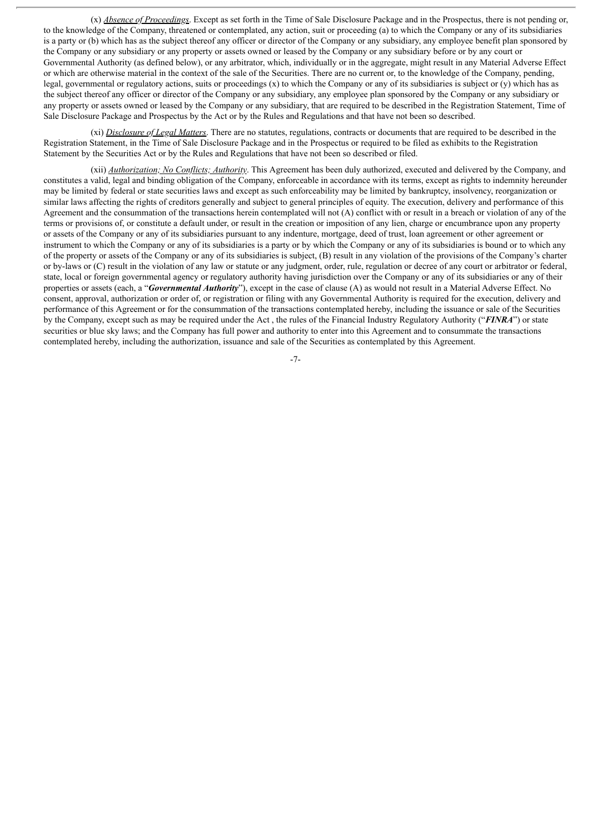(x) *Absence of Proceedings*. Except as set forth in the Time of Sale Disclosure Package and in the Prospectus, there is not pending or, to the knowledge of the Company, threatened or contemplated, any action, suit or proceeding (a) to which the Company or any of its subsidiaries is a party or (b) which has as the subject thereof any officer or director of the Company or any subsidiary, any employee benefit plan sponsored by the Company or any subsidiary or any property or assets owned or leased by the Company or any subsidiary before or by any court or Governmental Authority (as defined below), or any arbitrator, which, individually or in the aggregate, might result in any Material Adverse Effect or which are otherwise material in the context of the sale of the Securities. There are no current or, to the knowledge of the Company, pending, legal, governmental or regulatory actions, suits or proceedings  $(x)$  to which the Company or any of its subsidiaries is subject or  $(y)$  which has as the subject thereof any officer or director of the Company or any subsidiary, any employee plan sponsored by the Company or any subsidiary or any property or assets owned or leased by the Company or any subsidiary, that are required to be described in the Registration Statement, Time of Sale Disclosure Package and Prospectus by the Act or by the Rules and Regulations and that have not been so described.

(xi) *Disclosure of Legal Matters*. There are no statutes, regulations, contracts or documents that are required to be described in the Registration Statement, in the Time of Sale Disclosure Package and in the Prospectus or required to be filed as exhibits to the Registration Statement by the Securities Act or by the Rules and Regulations that have not been so described or filed.

(xii) *Authorization; No Conflicts; Authority*. This Agreement has been duly authorized, executed and delivered by the Company, and constitutes a valid, legal and binding obligation of the Company, enforceable in accordance with its terms, except as rights to indemnity hereunder may be limited by federal or state securities laws and except as such enforceability may be limited by bankruptcy, insolvency, reorganization or similar laws affecting the rights of creditors generally and subject to general principles of equity. The execution, delivery and performance of this Agreement and the consummation of the transactions herein contemplated will not (A) conflict with or result in a breach or violation of any of the terms or provisions of, or constitute a default under, or result in the creation or imposition of any lien, charge or encumbrance upon any property or assets of the Company or any of its subsidiaries pursuant to any indenture, mortgage, deed of trust, loan agreement or other agreement or instrument to which the Company or any of its subsidiaries is a party or by which the Company or any of its subsidiaries is bound or to which any of the property or assets of the Company or any of its subsidiaries is subject, (B) result in any violation of the provisions of the Company's charter or by-laws or (C) result in the violation of any law or statute or any judgment, order, rule, regulation or decree of any court or arbitrator or federal, state, local or foreign governmental agency or regulatory authority having jurisdiction over the Company or any of its subsidiaries or any of their properties or assets (each, a "*Governmental Authority*"), except in the case of clause (A) as would not result in a Material Adverse Effect. No consent, approval, authorization or order of, or registration or filing with any Governmental Authority is required for the execution, delivery and performance of this Agreement or for the consummation of the transactions contemplated hereby, including the issuance or sale of the Securities by the Company, except such as may be required under the Act , the rules of the Financial Industry Regulatory Authority ("*FINRA*") or state securities or blue sky laws; and the Company has full power and authority to enter into this Agreement and to consummate the transactions contemplated hereby, including the authorization, issuance and sale of the Securities as contemplated by this Agreement.

-7-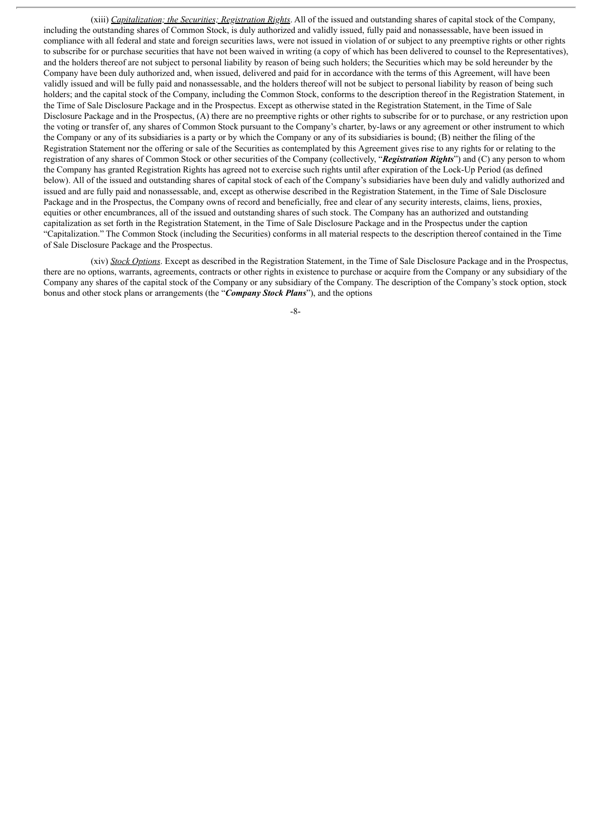(xiii) *Capitalization; the Securities; Registration Rights*. All of the issued and outstanding shares of capital stock of the Company, including the outstanding shares of Common Stock, is duly authorized and validly issued, fully paid and nonassessable, have been issued in compliance with all federal and state and foreign securities laws, were not issued in violation of or subject to any preemptive rights or other rights to subscribe for or purchase securities that have not been waived in writing (a copy of which has been delivered to counsel to the Representatives), and the holders thereof are not subject to personal liability by reason of being such holders; the Securities which may be sold hereunder by the Company have been duly authorized and, when issued, delivered and paid for in accordance with the terms of this Agreement, will have been validly issued and will be fully paid and nonassessable, and the holders thereof will not be subject to personal liability by reason of being such holders; and the capital stock of the Company, including the Common Stock, conforms to the description thereof in the Registration Statement, in the Time of Sale Disclosure Package and in the Prospectus. Except as otherwise stated in the Registration Statement, in the Time of Sale Disclosure Package and in the Prospectus, (A) there are no preemptive rights or other rights to subscribe for or to purchase, or any restriction upon the voting or transfer of, any shares of Common Stock pursuant to the Company's charter, by-laws or any agreement or other instrument to which the Company or any of its subsidiaries is a party or by which the Company or any of its subsidiaries is bound; (B) neither the filing of the Registration Statement nor the offering or sale of the Securities as contemplated by this Agreement gives rise to any rights for or relating to the registration of any shares of Common Stock or other securities of the Company (collectively, "*Registration Rights*") and (C) any person to whom the Company has granted Registration Rights has agreed not to exercise such rights until after expiration of the Lock-Up Period (as defined below). All of the issued and outstanding shares of capital stock of each of the Company's subsidiaries have been duly and validly authorized and issued and are fully paid and nonassessable, and, except as otherwise described in the Registration Statement, in the Time of Sale Disclosure Package and in the Prospectus, the Company owns of record and beneficially, free and clear of any security interests, claims, liens, proxies, equities or other encumbrances, all of the issued and outstanding shares of such stock. The Company has an authorized and outstanding capitalization as set forth in the Registration Statement, in the Time of Sale Disclosure Package and in the Prospectus under the caption "Capitalization." The Common Stock (including the Securities) conforms in all material respects to the description thereof contained in the Time of Sale Disclosure Package and the Prospectus.

(xiv) *Stock Options*. Except as described in the Registration Statement, in the Time of Sale Disclosure Package and in the Prospectus, there are no options, warrants, agreements, contracts or other rights in existence to purchase or acquire from the Company or any subsidiary of the Company any shares of the capital stock of the Company or any subsidiary of the Company. The description of the Company's stock option, stock bonus and other stock plans or arrangements (the "*Company Stock Plans*"), and the options

-8-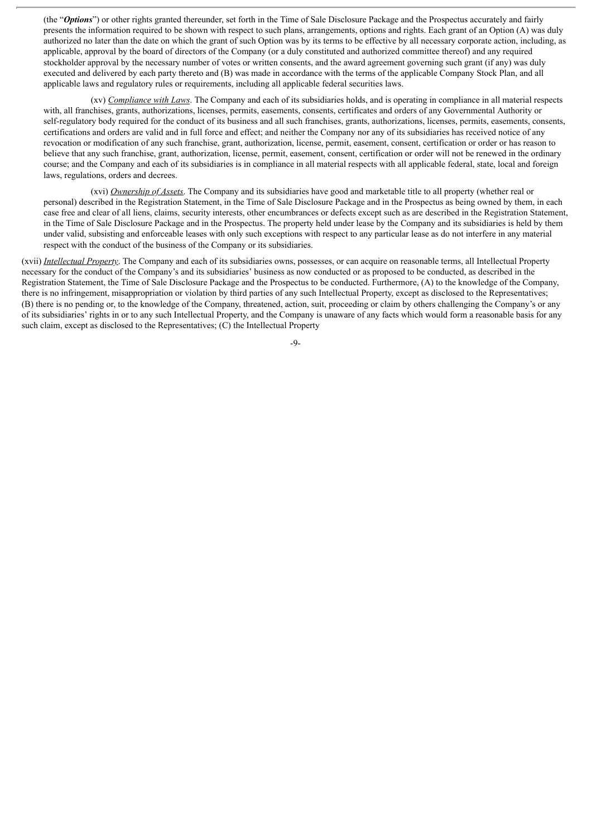(the "*Options*") or other rights granted thereunder, set forth in the Time of Sale Disclosure Package and the Prospectus accurately and fairly presents the information required to be shown with respect to such plans, arrangements, options and rights. Each grant of an Option (A) was duly authorized no later than the date on which the grant of such Option was by its terms to be effective by all necessary corporate action, including, as applicable, approval by the board of directors of the Company (or a duly constituted and authorized committee thereof) and any required stockholder approval by the necessary number of votes or written consents, and the award agreement governing such grant (if any) was duly executed and delivered by each party thereto and (B) was made in accordance with the terms of the applicable Company Stock Plan, and all applicable laws and regulatory rules or requirements, including all applicable federal securities laws.

(xv) *Compliance with Laws*. The Company and each of its subsidiaries holds, and is operating in compliance in all material respects with, all franchises, grants, authorizations, licenses, permits, easements, consents, certificates and orders of any Governmental Authority or self-regulatory body required for the conduct of its business and all such franchises, grants, authorizations, licenses, permits, easements, consents, certifications and orders are valid and in full force and effect; and neither the Company nor any of its subsidiaries has received notice of any revocation or modification of any such franchise, grant, authorization, license, permit, easement, consent, certification or order or has reason to believe that any such franchise, grant, authorization, license, permit, easement, consent, certification or order will not be renewed in the ordinary course; and the Company and each of its subsidiaries is in compliance in all material respects with all applicable federal, state, local and foreign laws, regulations, orders and decrees.

(xvi) *Ownership of Assets*. The Company and its subsidiaries have good and marketable title to all property (whether real or personal) described in the Registration Statement, in the Time of Sale Disclosure Package and in the Prospectus as being owned by them, in each case free and clear of all liens, claims, security interests, other encumbrances or defects except such as are described in the Registration Statement, in the Time of Sale Disclosure Package and in the Prospectus. The property held under lease by the Company and its subsidiaries is held by them under valid, subsisting and enforceable leases with only such exceptions with respect to any particular lease as do not interfere in any material respect with the conduct of the business of the Company or its subsidiaries.

(xvii) *Intellectual Property*. The Company and each of its subsidiaries owns, possesses, or can acquire on reasonable terms, all Intellectual Property necessary for the conduct of the Company's and its subsidiaries' business as now conducted or as proposed to be conducted, as described in the Registration Statement, the Time of Sale Disclosure Package and the Prospectus to be conducted. Furthermore, (A) to the knowledge of the Company, there is no infringement, misappropriation or violation by third parties of any such Intellectual Property, except as disclosed to the Representatives; (B) there is no pending or, to the knowledge of the Company, threatened, action, suit, proceeding or claim by others challenging the Company's or any of its subsidiaries' rights in or to any such Intellectual Property, and the Company is unaware of any facts which would form a reasonable basis for any such claim, except as disclosed to the Representatives; (C) the Intellectual Property

-9-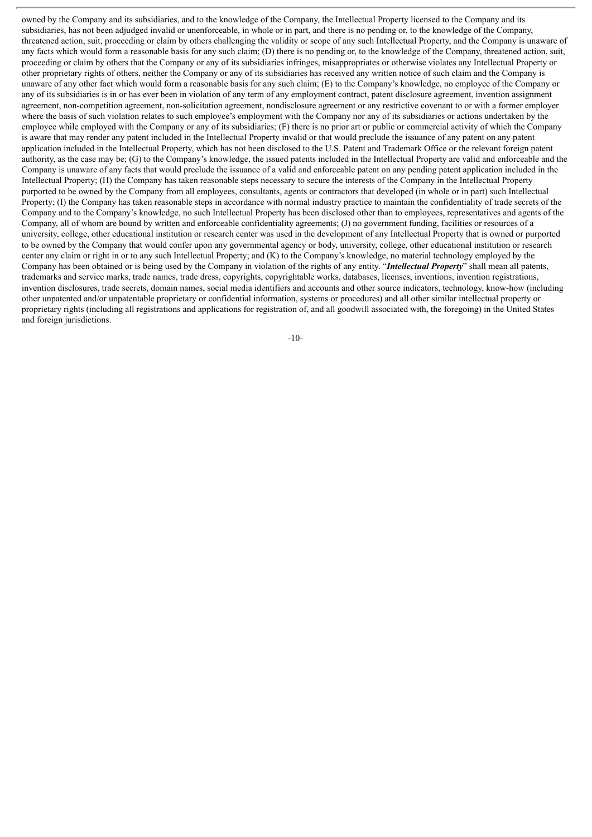owned by the Company and its subsidiaries, and to the knowledge of the Company, the Intellectual Property licensed to the Company and its subsidiaries, has not been adjudged invalid or unenforceable, in whole or in part, and there is no pending or, to the knowledge of the Company, threatened action, suit, proceeding or claim by others challenging the validity or scope of any such Intellectual Property, and the Company is unaware of any facts which would form a reasonable basis for any such claim; (D) there is no pending or, to the knowledge of the Company, threatened action, suit, proceeding or claim by others that the Company or any of its subsidiaries infringes, misappropriates or otherwise violates any Intellectual Property or other proprietary rights of others, neither the Company or any of its subsidiaries has received any written notice of such claim and the Company is unaware of any other fact which would form a reasonable basis for any such claim; (E) to the Company's knowledge, no employee of the Company or any of its subsidiaries is in or has ever been in violation of any term of any employment contract, patent disclosure agreement, invention assignment agreement, non-competition agreement, non-solicitation agreement, nondisclosure agreement or any restrictive covenant to or with a former employer where the basis of such violation relates to such employee's employment with the Company nor any of its subsidiaries or actions undertaken by the employee while employed with the Company or any of its subsidiaries; (F) there is no prior art or public or commercial activity of which the Company is aware that may render any patent included in the Intellectual Property invalid or that would preclude the issuance of any patent on any patent application included in the Intellectual Property, which has not been disclosed to the U.S. Patent and Trademark Office or the relevant foreign patent authority, as the case may be; (G) to the Company's knowledge, the issued patents included in the Intellectual Property are valid and enforceable and the Company is unaware of any facts that would preclude the issuance of a valid and enforceable patent on any pending patent application included in the Intellectual Property; (H) the Company has taken reasonable steps necessary to secure the interests of the Company in the Intellectual Property purported to be owned by the Company from all employees, consultants, agents or contractors that developed (in whole or in part) such Intellectual Property; (I) the Company has taken reasonable steps in accordance with normal industry practice to maintain the confidentiality of trade secrets of the Company and to the Company's knowledge, no such Intellectual Property has been disclosed other than to employees, representatives and agents of the Company, all of whom are bound by written and enforceable confidentiality agreements; (J) no government funding, facilities or resources of a university, college, other educational institution or research center was used in the development of any Intellectual Property that is owned or purported to be owned by the Company that would confer upon any governmental agency or body, university, college, other educational institution or research center any claim or right in or to any such Intellectual Property; and (K) to the Company's knowledge, no material technology employed by the Company has been obtained or is being used by the Company in violation of the rights of any entity. "*Intellectual Property*" shall mean all patents, trademarks and service marks, trade names, trade dress, copyrights, copyrightable works, databases, licenses, inventions, invention registrations, invention disclosures, trade secrets, domain names, social media identifiers and accounts and other source indicators, technology, know-how (including other unpatented and/or unpatentable proprietary or confidential information, systems or procedures) and all other similar intellectual property or proprietary rights (including all registrations and applications for registration of, and all goodwill associated with, the foregoing) in the United States and foreign jurisdictions.

-10-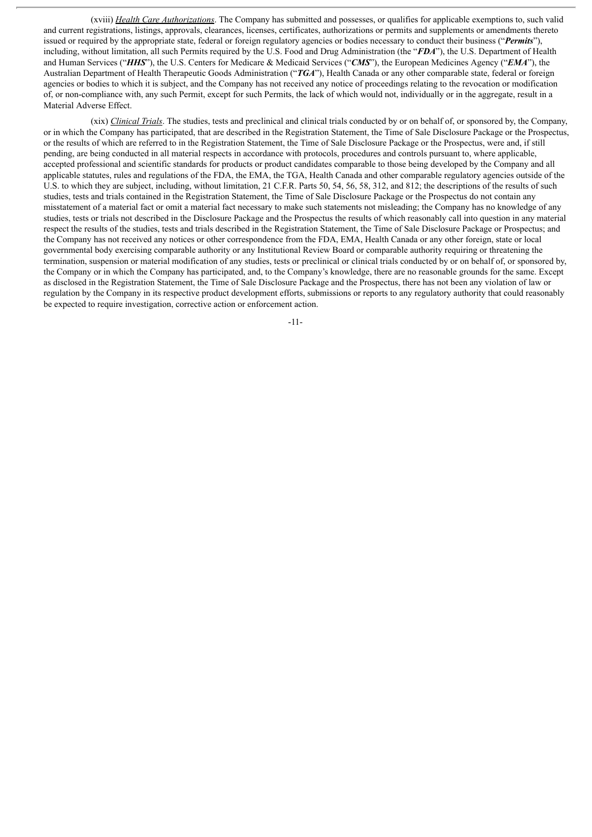(xviii) *Health Care Authorizations*. The Company has submitted and possesses, or qualifies for applicable exemptions to, such valid and current registrations, listings, approvals, clearances, licenses, certificates, authorizations or permits and supplements or amendments thereto issued or required by the appropriate state, federal or foreign regulatory agencies or bodies necessary to conduct their business ("*Permits*"), including, without limitation, all such Permits required by the U.S. Food and Drug Administration (the "*FDA*"), the U.S. Department of Health and Human Services ("*HHS*"), the U.S. Centers for Medicare & Medicaid Services ("*CMS*"), the European Medicines Agency ("*EMA*"), the Australian Department of Health Therapeutic Goods Administration ("*TGA*"), Health Canada or any other comparable state, federal or foreign agencies or bodies to which it is subject, and the Company has not received any notice of proceedings relating to the revocation or modification of, or non-compliance with, any such Permit, except for such Permits, the lack of which would not, individually or in the aggregate, result in a Material Adverse Effect.

(xix) *Clinical Trials*. The studies, tests and preclinical and clinical trials conducted by or on behalf of, or sponsored by, the Company, or in which the Company has participated, that are described in the Registration Statement, the Time of Sale Disclosure Package or the Prospectus, or the results of which are referred to in the Registration Statement, the Time of Sale Disclosure Package or the Prospectus, were and, if still pending, are being conducted in all material respects in accordance with protocols, procedures and controls pursuant to, where applicable, accepted professional and scientific standards for products or product candidates comparable to those being developed by the Company and all applicable statutes, rules and regulations of the FDA, the EMA, the TGA, Health Canada and other comparable regulatory agencies outside of the U.S. to which they are subject, including, without limitation, 21 C.F.R. Parts 50, 54, 56, 58, 312, and 812; the descriptions of the results of such studies, tests and trials contained in the Registration Statement, the Time of Sale Disclosure Package or the Prospectus do not contain any misstatement of a material fact or omit a material fact necessary to make such statements not misleading; the Company has no knowledge of any studies, tests or trials not described in the Disclosure Package and the Prospectus the results of which reasonably call into question in any material respect the results of the studies, tests and trials described in the Registration Statement, the Time of Sale Disclosure Package or Prospectus; and the Company has not received any notices or other correspondence from the FDA, EMA, Health Canada or any other foreign, state or local governmental body exercising comparable authority or any Institutional Review Board or comparable authority requiring or threatening the termination, suspension or material modification of any studies, tests or preclinical or clinical trials conducted by or on behalf of, or sponsored by, the Company or in which the Company has participated, and, to the Company's knowledge, there are no reasonable grounds for the same. Except as disclosed in the Registration Statement, the Time of Sale Disclosure Package and the Prospectus, there has not been any violation of law or regulation by the Company in its respective product development efforts, submissions or reports to any regulatory authority that could reasonably be expected to require investigation, corrective action or enforcement action.

-11-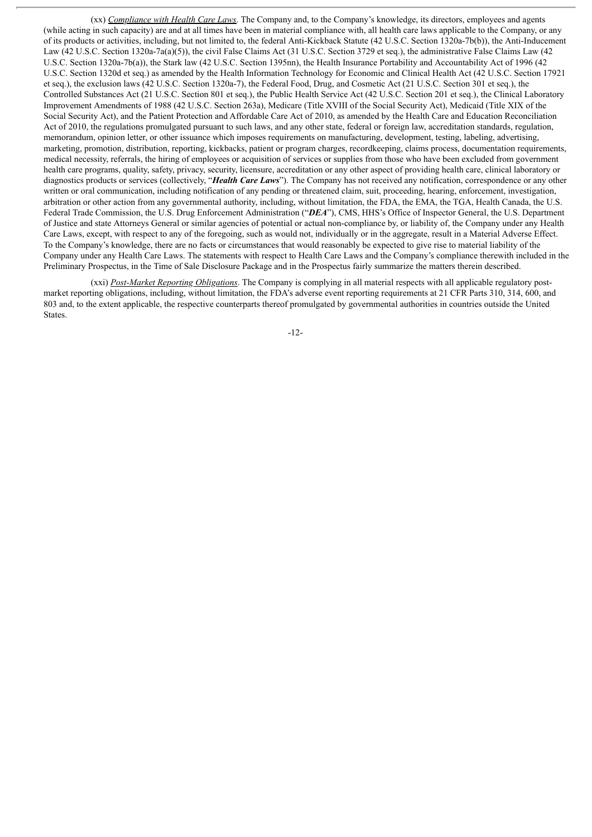(xx) *Compliance with Health Care Laws*. The Company and, to the Company's knowledge, its directors, employees and agents (while acting in such capacity) are and at all times have been in material compliance with, all health care laws applicable to the Company, or any of its products or activities, including, but not limited to, the federal Anti-Kickback Statute (42 U.S.C. Section 1320a-7b(b)), the Anti-Inducement Law (42 U.S.C. Section 1320a-7a(a)(5)), the civil False Claims Act (31 U.S.C. Section 3729 et seq.), the administrative False Claims Law (42 U.S.C. Section 1320a-7b(a)), the Stark law (42 U.S.C. Section 1395nn), the Health Insurance Portability and Accountability Act of 1996 (42 U.S.C. Section 1320d et seq.) as amended by the Health Information Technology for Economic and Clinical Health Act (42 U.S.C. Section 17921 et seq.), the exclusion laws (42 U.S.C. Section 1320a-7), the Federal Food, Drug, and Cosmetic Act (21 U.S.C. Section 301 et seq.), the Controlled Substances Act (21 U.S.C. Section 801 et seq.), the Public Health Service Act (42 U.S.C. Section 201 et seq.), the Clinical Laboratory Improvement Amendments of 1988 (42 U.S.C. Section 263a), Medicare (Title XVIII of the Social Security Act), Medicaid (Title XIX of the Social Security Act), and the Patient Protection and Affordable Care Act of 2010, as amended by the Health Care and Education Reconciliation Act of 2010, the regulations promulgated pursuant to such laws, and any other state, federal or foreign law, accreditation standards, regulation, memorandum, opinion letter, or other issuance which imposes requirements on manufacturing, development, testing, labeling, advertising, marketing, promotion, distribution, reporting, kickbacks, patient or program charges, recordkeeping, claims process, documentation requirements, medical necessity, referrals, the hiring of employees or acquisition of services or supplies from those who have been excluded from government health care programs, quality, safety, privacy, security, licensure, accreditation or any other aspect of providing health care, clinical laboratory or diagnostics products or services (collectively, "*Health Care Laws*"). The Company has not received any notification, correspondence or any other written or oral communication, including notification of any pending or threatened claim, suit, proceeding, hearing, enforcement, investigation, arbitration or other action from any governmental authority, including, without limitation, the FDA, the EMA, the TGA, Health Canada, the U.S. Federal Trade Commission, the U.S. Drug Enforcement Administration ("*DEA*"), CMS, HHS's Office of Inspector General, the U.S. Department of Justice and state Attorneys General or similar agencies of potential or actual non-compliance by, or liability of, the Company under any Health Care Laws, except, with respect to any of the foregoing, such as would not, individually or in the aggregate, result in a Material Adverse Effect. To the Company's knowledge, there are no facts or circumstances that would reasonably be expected to give rise to material liability of the Company under any Health Care Laws. The statements with respect to Health Care Laws and the Company's compliance therewith included in the Preliminary Prospectus, in the Time of Sale Disclosure Package and in the Prospectus fairly summarize the matters therein described.

(xxi) *Post-Market Reporting Obligations*. The Company is complying in all material respects with all applicable regulatory postmarket reporting obligations, including, without limitation, the FDA's adverse event reporting requirements at 21 CFR Parts 310, 314, 600, and 803 and, to the extent applicable, the respective counterparts thereof promulgated by governmental authorities in countries outside the United States.

-12-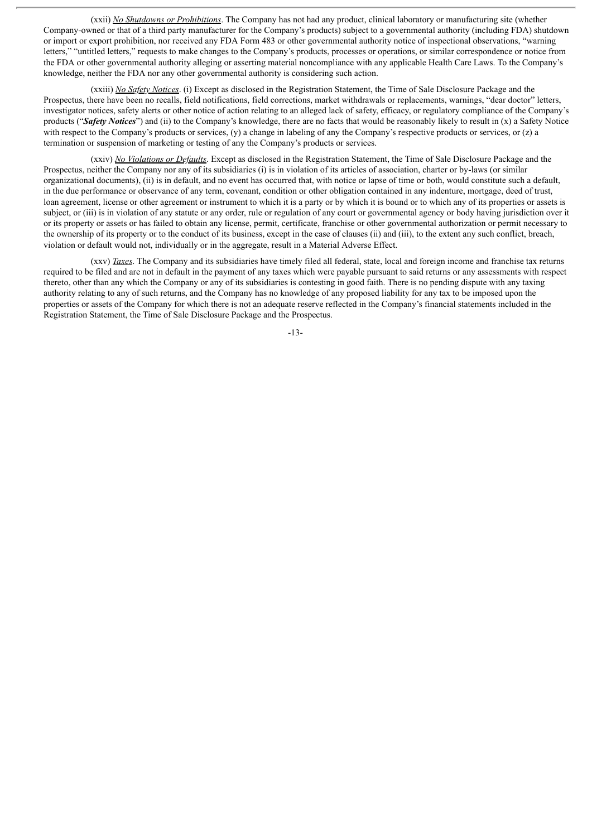(xxii) *No Shutdowns or Prohibitions*. The Company has not had any product, clinical laboratory or manufacturing site (whether Company-owned or that of a third party manufacturer for the Company's products) subject to a governmental authority (including FDA) shutdown or import or export prohibition, nor received any FDA Form 483 or other governmental authority notice of inspectional observations, "warning letters," "untitled letters," requests to make changes to the Company's products, processes or operations, or similar correspondence or notice from the FDA or other governmental authority alleging or asserting material noncompliance with any applicable Health Care Laws. To the Company's knowledge, neither the FDA nor any other governmental authority is considering such action.

(xxiii) *No Safety Notices*. (i) Except as disclosed in the Registration Statement, the Time of Sale Disclosure Package and the Prospectus, there have been no recalls, field notifications, field corrections, market withdrawals or replacements, warnings, "dear doctor" letters, investigator notices, safety alerts or other notice of action relating to an alleged lack of safety, efficacy, or regulatory compliance of the Company's products ("*Safety Notices*") and (ii) to the Company's knowledge, there are no facts that would be reasonably likely to result in (x) a Safety Notice with respect to the Company's products or services, (y) a change in labeling of any the Company's respective products or services, or (z) a termination or suspension of marketing or testing of any the Company's products or services.

(xxiv) *No Violations or Defaults*. Except as disclosed in the Registration Statement, the Time of Sale Disclosure Package and the Prospectus, neither the Company nor any of its subsidiaries (i) is in violation of its articles of association, charter or by-laws (or similar organizational documents), (ii) is in default, and no event has occurred that, with notice or lapse of time or both, would constitute such a default, in the due performance or observance of any term, covenant, condition or other obligation contained in any indenture, mortgage, deed of trust, loan agreement, license or other agreement or instrument to which it is a party or by which it is bound or to which any of its properties or assets is subject, or (iii) is in violation of any statute or any order, rule or regulation of any court or governmental agency or body having jurisdiction over it or its property or assets or has failed to obtain any license, permit, certificate, franchise or other governmental authorization or permit necessary to the ownership of its property or to the conduct of its business, except in the case of clauses (ii) and (iii), to the extent any such conflict, breach, violation or default would not, individually or in the aggregate, result in a Material Adverse Effect.

(xxv) *Taxes*. The Company and its subsidiaries have timely filed all federal, state, local and foreign income and franchise tax returns required to be filed and are not in default in the payment of any taxes which were payable pursuant to said returns or any assessments with respect thereto, other than any which the Company or any of its subsidiaries is contesting in good faith. There is no pending dispute with any taxing authority relating to any of such returns, and the Company has no knowledge of any proposed liability for any tax to be imposed upon the properties or assets of the Company for which there is not an adequate reserve reflected in the Company's financial statements included in the Registration Statement, the Time of Sale Disclosure Package and the Prospectus.

-13-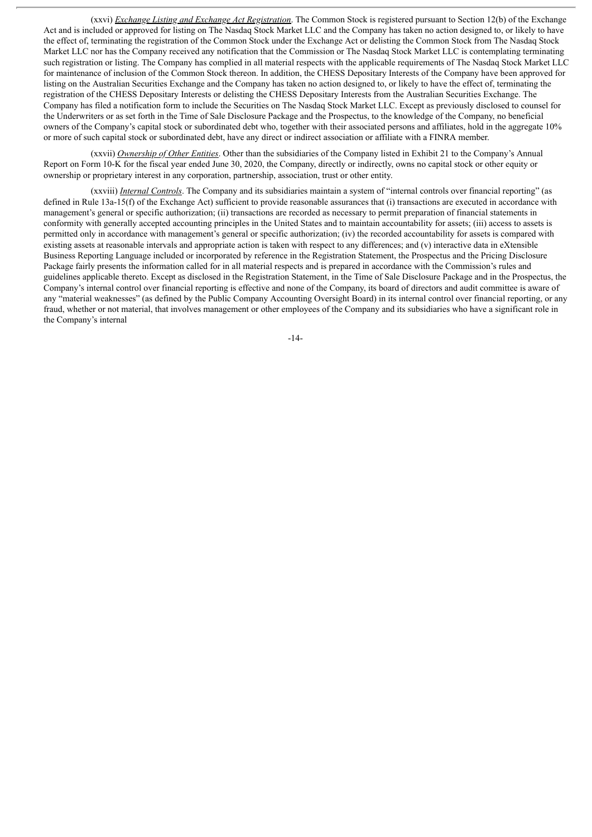(xxvi) *Exchange Listing and Exchange Act Registration*. The Common Stock is registered pursuant to Section 12(b) of the Exchange Act and is included or approved for listing on The Nasdaq Stock Market LLC and the Company has taken no action designed to, or likely to have the effect of, terminating the registration of the Common Stock under the Exchange Act or delisting the Common Stock from The Nasdaq Stock Market LLC nor has the Company received any notification that the Commission or The Nasdaq Stock Market LLC is contemplating terminating such registration or listing. The Company has complied in all material respects with the applicable requirements of The Nasdaq Stock Market LLC for maintenance of inclusion of the Common Stock thereon. In addition, the CHESS Depositary Interests of the Company have been approved for listing on the Australian Securities Exchange and the Company has taken no action designed to, or likely to have the effect of, terminating the registration of the CHESS Depositary Interests or delisting the CHESS Depositary Interests from the Australian Securities Exchange. The Company has filed a notification form to include the Securities on The Nasdaq Stock Market LLC. Except as previously disclosed to counsel for the Underwriters or as set forth in the Time of Sale Disclosure Package and the Prospectus, to the knowledge of the Company, no beneficial owners of the Company's capital stock or subordinated debt who, together with their associated persons and affiliates, hold in the aggregate 10% or more of such capital stock or subordinated debt, have any direct or indirect association or affiliate with a FINRA member.

(xxvii) *Ownership of Other Entities*. Other than the subsidiaries of the Company listed in Exhibit 21 to the Company's Annual Report on Form 10-K for the fiscal year ended June 30, 2020, the Company, directly or indirectly, owns no capital stock or other equity or ownership or proprietary interest in any corporation, partnership, association, trust or other entity.

(xxviii) *Internal Controls*. The Company and its subsidiaries maintain a system of "internal controls over financial reporting" (as defined in Rule 13a-15(f) of the Exchange Act) sufficient to provide reasonable assurances that (i) transactions are executed in accordance with management's general or specific authorization; (ii) transactions are recorded as necessary to permit preparation of financial statements in conformity with generally accepted accounting principles in the United States and to maintain accountability for assets; (iii) access to assets is permitted only in accordance with management's general or specific authorization; (iv) the recorded accountability for assets is compared with existing assets at reasonable intervals and appropriate action is taken with respect to any differences; and (v) interactive data in eXtensible Business Reporting Language included or incorporated by reference in the Registration Statement, the Prospectus and the Pricing Disclosure Package fairly presents the information called for in all material respects and is prepared in accordance with the Commission's rules and guidelines applicable thereto. Except as disclosed in the Registration Statement, in the Time of Sale Disclosure Package and in the Prospectus, the Company's internal control over financial reporting is effective and none of the Company, its board of directors and audit committee is aware of any "material weaknesses" (as defined by the Public Company Accounting Oversight Board) in its internal control over financial reporting, or any fraud, whether or not material, that involves management or other employees of the Company and its subsidiaries who have a significant role in the Company's internal

-14-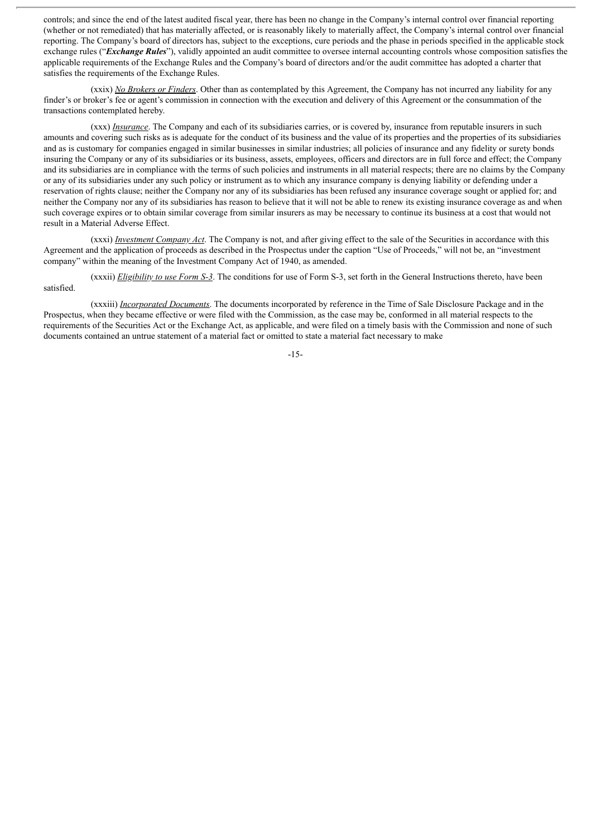controls; and since the end of the latest audited fiscal year, there has been no change in the Company's internal control over financial reporting (whether or not remediated) that has materially affected, or is reasonably likely to materially affect, the Company's internal control over financial reporting. The Company's board of directors has, subject to the exceptions, cure periods and the phase in periods specified in the applicable stock exchange rules ("*Exchange Rules*"), validly appointed an audit committee to oversee internal accounting controls whose composition satisfies the applicable requirements of the Exchange Rules and the Company's board of directors and/or the audit committee has adopted a charter that satisfies the requirements of the Exchange Rules.

(xxix) *No Brokers or Finders*. Other than as contemplated by this Agreement, the Company has not incurred any liability for any finder's or broker's fee or agent's commission in connection with the execution and delivery of this Agreement or the consummation of the transactions contemplated hereby.

(xxx) *Insurance*. The Company and each of its subsidiaries carries, or is covered by, insurance from reputable insurers in such amounts and covering such risks as is adequate for the conduct of its business and the value of its properties and the properties of its subsidiaries and as is customary for companies engaged in similar businesses in similar industries; all policies of insurance and any fidelity or surety bonds insuring the Company or any of its subsidiaries or its business, assets, employees, officers and directors are in full force and effect; the Company and its subsidiaries are in compliance with the terms of such policies and instruments in all material respects; there are no claims by the Company or any of its subsidiaries under any such policy or instrument as to which any insurance company is denying liability or defending under a reservation of rights clause; neither the Company nor any of its subsidiaries has been refused any insurance coverage sought or applied for; and neither the Company nor any of its subsidiaries has reason to believe that it will not be able to renew its existing insurance coverage as and when such coverage expires or to obtain similar coverage from similar insurers as may be necessary to continue its business at a cost that would not result in a Material Adverse Effect.

(xxxi) *Investment Company Act*. The Company is not, and after giving effect to the sale of the Securities in accordance with this Agreement and the application of proceeds as described in the Prospectus under the caption "Use of Proceeds," will not be, an "investment company" within the meaning of the Investment Company Act of 1940, as amended.

(xxxii) *Eligibility to use Form S-3*. The conditions for use of Form S-3, set forth in the General Instructions thereto, have been satisfied.

(xxxiii) *Incorporated Documents*. The documents incorporated by reference in the Time of Sale Disclosure Package and in the Prospectus, when they became effective or were filed with the Commission, as the case may be, conformed in all material respects to the requirements of the Securities Act or the Exchange Act, as applicable, and were filed on a timely basis with the Commission and none of such documents contained an untrue statement of a material fact or omitted to state a material fact necessary to make

-15-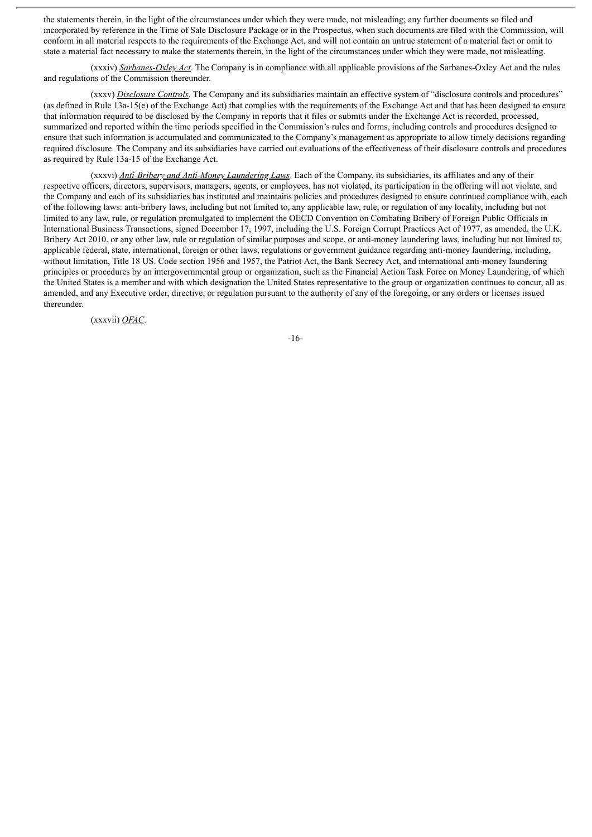the statements therein, in the light of the circumstances under which they were made, not misleading; any further documents so filed and incorporated by reference in the Time of Sale Disclosure Package or in the Prospectus, when such documents are filed with the Commission, will conform in all material respects to the requirements of the Exchange Act, and will not contain an untrue statement of a material fact or omit to state a material fact necessary to make the statements therein, in the light of the circumstances under which they were made, not misleading.

(xxxiv) *Sarbanes-Oxley Act*. The Company is in compliance with all applicable provisions of the Sarbanes-Oxley Act and the rules and regulations of the Commission thereunder.

(xxxv) *Disclosure Controls*. The Company and its subsidiaries maintain an effective system of "disclosure controls and procedures" (as defined in Rule 13a-15(e) of the Exchange Act) that complies with the requirements of the Exchange Act and that has been designed to ensure that information required to be disclosed by the Company in reports that it files or submits under the Exchange Act is recorded, processed, summarized and reported within the time periods specified in the Commission's rules and forms, including controls and procedures designed to ensure that such information is accumulated and communicated to the Company's management as appropriate to allow timely decisions regarding required disclosure. The Company and its subsidiaries have carried out evaluations of the effectiveness of their disclosure controls and procedures as required by Rule 13a-15 of the Exchange Act.

(xxxvi) *Anti-Bribery and Anti-Money Laundering Laws*. Each of the Company, its subsidiaries, its affiliates and any of their respective officers, directors, supervisors, managers, agents, or employees, has not violated, its participation in the offering will not violate, and the Company and each of its subsidiaries has instituted and maintains policies and procedures designed to ensure continued compliance with, each of the following laws: anti-bribery laws, including but not limited to, any applicable law, rule, or regulation of any locality, including but not limited to any law, rule, or regulation promulgated to implement the OECD Convention on Combating Bribery of Foreign Public Officials in International Business Transactions, signed December 17, 1997, including the U.S. Foreign Corrupt Practices Act of 1977, as amended, the U.K. Bribery Act 2010, or any other law, rule or regulation of similar purposes and scope, or anti-money laundering laws, including but not limited to, applicable federal, state, international, foreign or other laws, regulations or government guidance regarding anti-money laundering, including, without limitation, Title 18 US. Code section 1956 and 1957, the Patriot Act, the Bank Secrecy Act, and international anti-money laundering principles or procedures by an intergovernmental group or organization, such as the Financial Action Task Force on Money Laundering, of which the United States is a member and with which designation the United States representative to the group or organization continues to concur, all as amended, and any Executive order, directive, or regulation pursuant to the authority of any of the foregoing, or any orders or licenses issued thereunder.

(xxxvii) *OFAC*.

-16-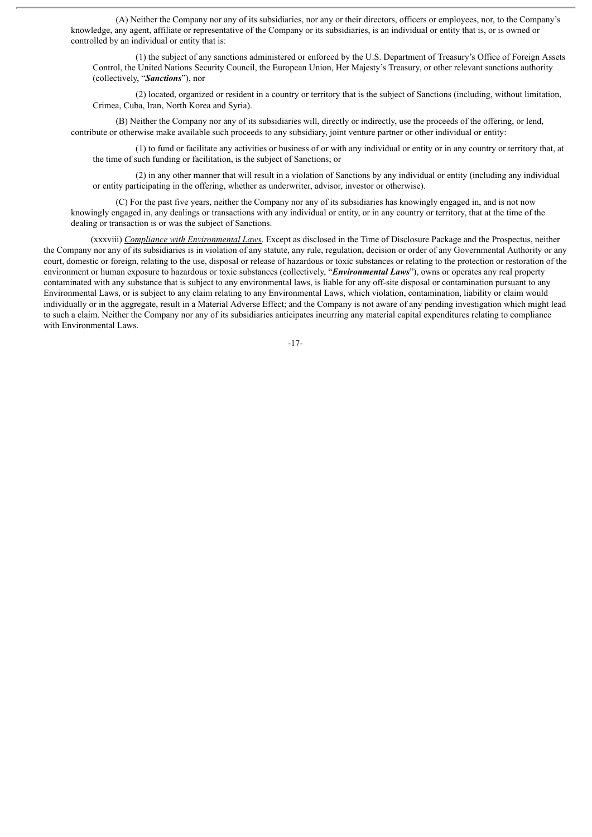(A) Neither the Company nor any of its subsidiaries, nor any or their directors, officers or employees, nor, to the Company's knowledge, any agent, affiliate or representative of the Company or its subsidiaries, is an individual or entity that is, or is owned or controlled by an individual or entity that is:

(1) the subject of any sanctions administered or enforced by the U.S. Department of Treasury's Office of Foreign Assets Control, the United Nations Security Council, the European Union, Her Majesty's Treasury, or other relevant sanctions authority (collectively, "*Sanctions*"), nor

(2) located, organized or resident in a country or territory that is the subject of Sanctions (including, without limitation, Crimea, Cuba, Iran, North Korea and Syria).

(B) Neither the Company nor any of its subsidiaries will, directly or indirectly, use the proceeds of the offering, or lend, contribute or otherwise make available such proceeds to any subsidiary, joint venture partner or other individual or entity:

(1) to fund or facilitate any activities or business of or with any individual or entity or in any country or territory that, at the time of such funding or facilitation, is the subject of Sanctions; or

(2) in any other manner that will result in a violation of Sanctions by any individual or entity (including any individual or entity participating in the offering, whether as underwriter, advisor, investor or otherwise).

(C) For the past five years, neither the Company nor any of its subsidiaries has knowingly engaged in, and is not now knowingly engaged in, any dealings or transactions with any individual or entity, or in any country or territory, that at the time of the dealing or transaction is or was the subject of Sanctions.

(xxxviii) *Compliance with Environmental Laws*. Except as disclosed in the Time of Disclosure Package and the Prospectus, neither the Company nor any of its subsidiaries is in violation of any statute, any rule, regulation, decision or order of any Governmental Authority or any court, domestic or foreign, relating to the use, disposal or release of hazardous or toxic substances or relating to the protection or restoration of the environment or human exposure to hazardous or toxic substances (collectively, "*Environmental Laws*"), owns or operates any real property contaminated with any substance that is subject to any environmental laws, is liable for any off-site disposal or contamination pursuant to any Environmental Laws, or is subject to any claim relating to any Environmental Laws, which violation, contamination, liability or claim would individually or in the aggregate, result in a Material Adverse Effect; and the Company is not aware of any pending investigation which might lead to such a claim. Neither the Company nor any of its subsidiaries anticipates incurring any material capital expenditures relating to compliance with Environmental Laws.

-17-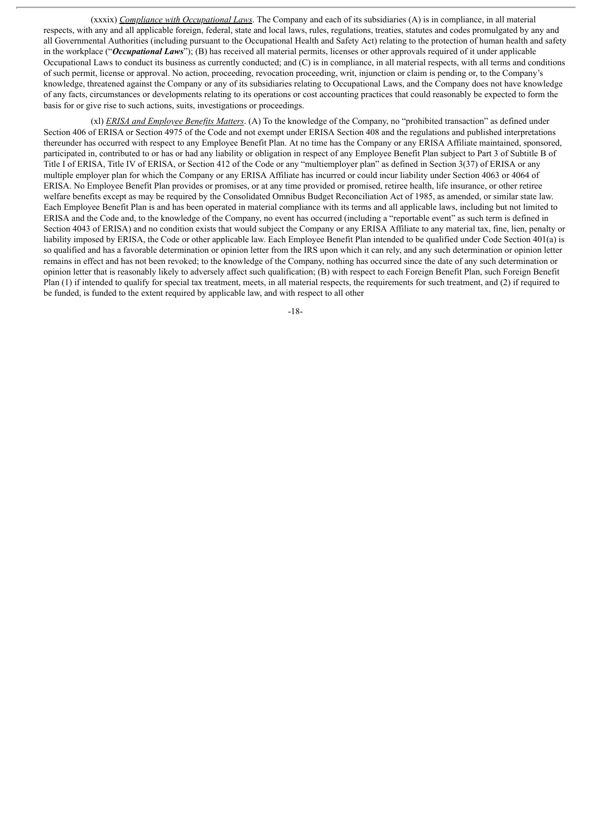(xxxix) *Compliance with Occupational Laws*. The Company and each of its subsidiaries (A) is in compliance, in all material respects, with any and all applicable foreign, federal, state and local laws, rules, regulations, treaties, statutes and codes promulgated by any and all Governmental Authorities (including pursuant to the Occupational Health and Safety Act) relating to the protection of human health and safety in the workplace ("*Occupational Laws*"); (B) has received all material permits, licenses or other approvals required of it under applicable Occupational Laws to conduct its business as currently conducted; and (C) is in compliance, in all material respects, with all terms and conditions of such permit, license or approval. No action, proceeding, revocation proceeding, writ, injunction or claim is pending or, to the Company's knowledge, threatened against the Company or any of its subsidiaries relating to Occupational Laws, and the Company does not have knowledge of any facts, circumstances or developments relating to its operations or cost accounting practices that could reasonably be expected to form the basis for or give rise to such actions, suits, investigations or proceedings.

(xl) *ERISA and Employee Benefits Matters*. (A) To the knowledge of the Company, no "prohibited transaction" as defined under Section 406 of ERISA or Section 4975 of the Code and not exempt under ERISA Section 408 and the regulations and published interpretations thereunder has occurred with respect to any Employee Benefit Plan. At no time has the Company or any ERISA Affiliate maintained, sponsored, participated in, contributed to or has or had any liability or obligation in respect of any Employee Benefit Plan subject to Part 3 of Subtitle B of Title I of ERISA, Title IV of ERISA, or Section 412 of the Code or any "multiemployer plan" as defined in Section 3(37) of ERISA or any multiple employer plan for which the Company or any ERISA Affiliate has incurred or could incur liability under Section 4063 or 4064 of ERISA. No Employee Benefit Plan provides or promises, or at any time provided or promised, retiree health, life insurance, or other retiree welfare benefits except as may be required by the Consolidated Omnibus Budget Reconciliation Act of 1985, as amended, or similar state law. Each Employee Benefit Plan is and has been operated in material compliance with its terms and all applicable laws, including but not limited to ERISA and the Code and, to the knowledge of the Company, no event has occurred (including a "reportable event" as such term is defined in Section 4043 of ERISA) and no condition exists that would subject the Company or any ERISA Affiliate to any material tax, fine, lien, penalty or liability imposed by ERISA, the Code or other applicable law. Each Employee Benefit Plan intended to be qualified under Code Section 401(a) is so qualified and has a favorable determination or opinion letter from the IRS upon which it can rely, and any such determination or opinion letter remains in effect and has not been revoked; to the knowledge of the Company, nothing has occurred since the date of any such determination or opinion letter that is reasonably likely to adversely affect such qualification; (B) with respect to each Foreign Benefit Plan, such Foreign Benefit Plan (1) if intended to qualify for special tax treatment, meets, in all material respects, the requirements for such treatment, and (2) if required to be funded, is funded to the extent required by applicable law, and with respect to all other

-18-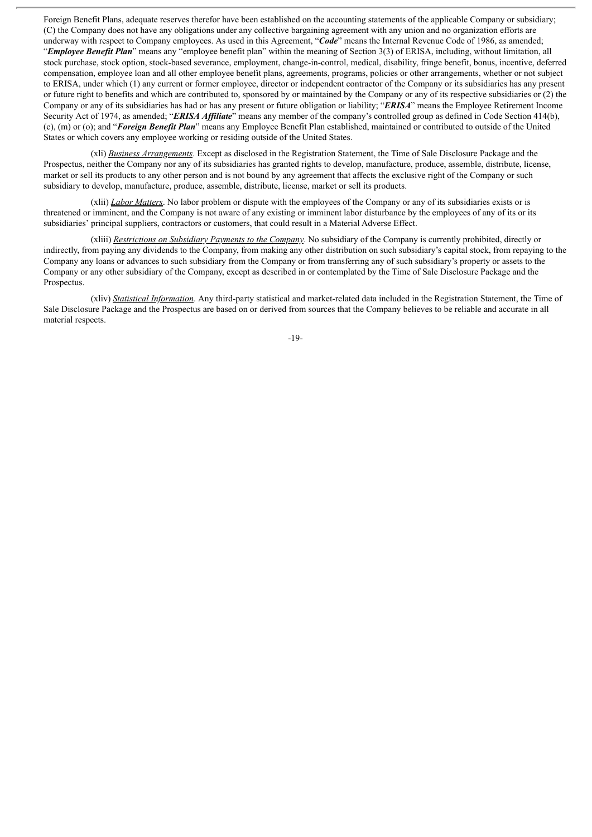Foreign Benefit Plans, adequate reserves therefor have been established on the accounting statements of the applicable Company or subsidiary; (C) the Company does not have any obligations under any collective bargaining agreement with any union and no organization efforts are underway with respect to Company employees. As used in this Agreement, "*Code*" means the Internal Revenue Code of 1986, as amended; "*Employee Benefit Plan*" means any "employee benefit plan" within the meaning of Section 3(3) of ERISA, including, without limitation, all stock purchase, stock option, stock-based severance, employment, change-in-control, medical, disability, fringe benefit, bonus, incentive, deferred compensation, employee loan and all other employee benefit plans, agreements, programs, policies or other arrangements, whether or not subject to ERISA, under which (1) any current or former employee, director or independent contractor of the Company or its subsidiaries has any present or future right to benefits and which are contributed to, sponsored by or maintained by the Company or any of its respective subsidiaries or (2) the Company or any of its subsidiaries has had or has any present or future obligation or liability; "*ERISA*" means the Employee Retirement Income Security Act of 1974, as amended; "**ERISA** *Affiliate*" means any member of the company's controlled group as defined in Code Section 414(b), (c), (m) or (o); and "*Foreign Benefit Plan*" means any Employee Benefit Plan established, maintained or contributed to outside of the United States or which covers any employee working or residing outside of the United States.

(xli) *Business Arrangements*. Except as disclosed in the Registration Statement, the Time of Sale Disclosure Package and the Prospectus, neither the Company nor any of its subsidiaries has granted rights to develop, manufacture, produce, assemble, distribute, license, market or sell its products to any other person and is not bound by any agreement that affects the exclusive right of the Company or such subsidiary to develop, manufacture, produce, assemble, distribute, license, market or sell its products.

(xlii) *Labor Matters*. No labor problem or dispute with the employees of the Company or any of its subsidiaries exists or is threatened or imminent, and the Company is not aware of any existing or imminent labor disturbance by the employees of any of its or its subsidiaries' principal suppliers, contractors or customers, that could result in a Material Adverse Effect.

(xliii) *Restrictions on Subsidiary Payments to the Company*. No subsidiary of the Company is currently prohibited, directly or indirectly, from paying any dividends to the Company, from making any other distribution on such subsidiary's capital stock, from repaying to the Company any loans or advances to such subsidiary from the Company or from transferring any of such subsidiary's property or assets to the Company or any other subsidiary of the Company, except as described in or contemplated by the Time of Sale Disclosure Package and the Prospectus.

(xliv) *Statistical Information*. Any third-party statistical and market-related data included in the Registration Statement, the Time of Sale Disclosure Package and the Prospectus are based on or derived from sources that the Company believes to be reliable and accurate in all material respects.

-19-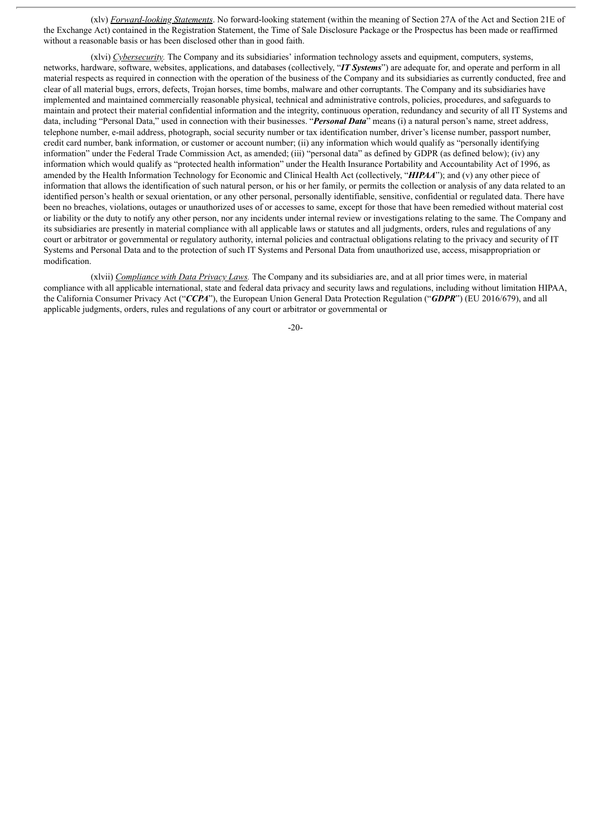(xlv) *Forward-looking Statements*. No forward-looking statement (within the meaning of Section 27A of the Act and Section 21E of the Exchange Act) contained in the Registration Statement, the Time of Sale Disclosure Package or the Prospectus has been made or reaffirmed without a reasonable basis or has been disclosed other than in good faith.

(xlvi) *Cybersecurity.* The Company and its subsidiaries' information technology assets and equipment, computers, systems, networks, hardware, software, websites, applications, and databases (collectively, "*IT Systems*") are adequate for, and operate and perform in all material respects as required in connection with the operation of the business of the Company and its subsidiaries as currently conducted, free and clear of all material bugs, errors, defects, Trojan horses, time bombs, malware and other corruptants. The Company and its subsidiaries have implemented and maintained commercially reasonable physical, technical and administrative controls, policies, procedures, and safeguards to maintain and protect their material confidential information and the integrity, continuous operation, redundancy and security of all IT Systems and data, including "Personal Data," used in connection with their businesses. "*Personal Data*" means (i) a natural person's name, street address, telephone number, e-mail address, photograph, social security number or tax identification number, driver's license number, passport number, credit card number, bank information, or customer or account number; (ii) any information which would qualify as "personally identifying information" under the Federal Trade Commission Act, as amended; (iii) "personal data" as defined by GDPR (as defined below); (iv) any information which would qualify as "protected health information" under the Health Insurance Portability and Accountability Act of 1996, as amended by the Health Information Technology for Economic and Clinical Health Act (collectively, "*HIPAA*"); and (v) any other piece of information that allows the identification of such natural person, or his or her family, or permits the collection or analysis of any data related to an identified person's health or sexual orientation, or any other personal, personally identifiable, sensitive, confidential or regulated data. There have been no breaches, violations, outages or unauthorized uses of or accesses to same, except for those that have been remedied without material cost or liability or the duty to notify any other person, nor any incidents under internal review or investigations relating to the same. The Company and its subsidiaries are presently in material compliance with all applicable laws or statutes and all judgments, orders, rules and regulations of any court or arbitrator or governmental or regulatory authority, internal policies and contractual obligations relating to the privacy and security of IT Systems and Personal Data and to the protection of such IT Systems and Personal Data from unauthorized use, access, misappropriation or modification.

(xlvii) *Compliance with Data Privacy Laws.* The Company and its subsidiaries are, and at all prior times were, in material compliance with all applicable international, state and federal data privacy and security laws and regulations, including without limitation HIPAA, the California Consumer Privacy Act ("*CCPA*"), the European Union General Data Protection Regulation ("*GDPR*") (EU 2016/679), and all applicable judgments, orders, rules and regulations of any court or arbitrator or governmental or

-20-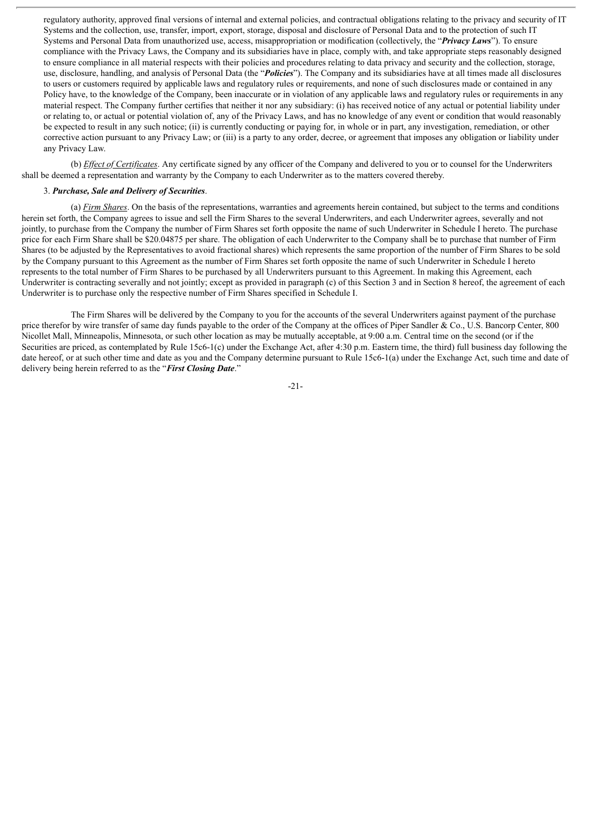regulatory authority, approved final versions of internal and external policies, and contractual obligations relating to the privacy and security of IT Systems and the collection, use, transfer, import, export, storage, disposal and disclosure of Personal Data and to the protection of such IT Systems and Personal Data from unauthorized use, access, misappropriation or modification (collectively, the "*Privacy Laws*"). To ensure compliance with the Privacy Laws, the Company and its subsidiaries have in place, comply with, and take appropriate steps reasonably designed to ensure compliance in all material respects with their policies and procedures relating to data privacy and security and the collection, storage, use, disclosure, handling, and analysis of Personal Data (the "*Policies*"). The Company and its subsidiaries have at all times made all disclosures to users or customers required by applicable laws and regulatory rules or requirements, and none of such disclosures made or contained in any Policy have, to the knowledge of the Company, been inaccurate or in violation of any applicable laws and regulatory rules or requirements in any material respect. The Company further certifies that neither it nor any subsidiary: (i) has received notice of any actual or potential liability under or relating to, or actual or potential violation of, any of the Privacy Laws, and has no knowledge of any event or condition that would reasonably be expected to result in any such notice; (ii) is currently conducting or paying for, in whole or in part, any investigation, remediation, or other corrective action pursuant to any Privacy Law; or (iii) is a party to any order, decree, or agreement that imposes any obligation or liability under any Privacy Law.

(b) *Ef ect of Certificates*. Any certificate signed by any officer of the Company and delivered to you or to counsel for the Underwriters shall be deemed a representation and warranty by the Company to each Underwriter as to the matters covered thereby.

#### 3. *Purchase, Sale and Delivery of Securities*.

(a) *Firm Shares*. On the basis of the representations, warranties and agreements herein contained, but subject to the terms and conditions herein set forth, the Company agrees to issue and sell the Firm Shares to the several Underwriters, and each Underwriter agrees, severally and not jointly, to purchase from the Company the number of Firm Shares set forth opposite the name of such Underwriter in Schedule I hereto. The purchase price for each Firm Share shall be \$20.04875 per share. The obligation of each Underwriter to the Company shall be to purchase that number of Firm Shares (to be adjusted by the Representatives to avoid fractional shares) which represents the same proportion of the number of Firm Shares to be sold by the Company pursuant to this Agreement as the number of Firm Shares set forth opposite the name of such Underwriter in Schedule I hereto represents to the total number of Firm Shares to be purchased by all Underwriters pursuant to this Agreement. In making this Agreement, each Underwriter is contracting severally and not jointly; except as provided in paragraph (c) of this Section 3 and in Section 8 hereof, the agreement of each Underwriter is to purchase only the respective number of Firm Shares specified in Schedule I.

The Firm Shares will be delivered by the Company to you for the accounts of the several Underwriters against payment of the purchase price therefor by wire transfer of same day funds payable to the order of the Company at the offices of Piper Sandler & Co., U.S. Bancorp Center, 800 Nicollet Mall, Minneapolis, Minnesota, or such other location as may be mutually acceptable, at 9:00 a.m. Central time on the second (or if the Securities are priced, as contemplated by Rule 15c6-1(c) under the Exchange Act, after 4:30 p.m. Eastern time, the third) full business day following the date hereof, or at such other time and date as you and the Company determine pursuant to Rule 15c6-1(a) under the Exchange Act, such time and date of delivery being herein referred to as the "*First Closing Date*."

-21-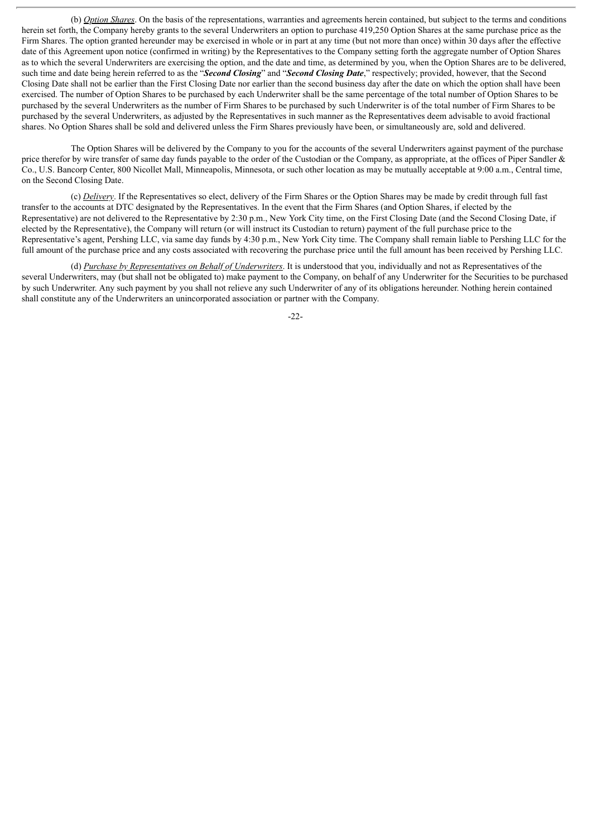(b) *Option Shares*. On the basis of the representations, warranties and agreements herein contained, but subject to the terms and conditions herein set forth, the Company hereby grants to the several Underwriters an option to purchase 419,250 Option Shares at the same purchase price as the Firm Shares. The option granted hereunder may be exercised in whole or in part at any time (but not more than once) within 30 days after the effective date of this Agreement upon notice (confirmed in writing) by the Representatives to the Company setting forth the aggregate number of Option Shares as to which the several Underwriters are exercising the option, and the date and time, as determined by you, when the Option Shares are to be delivered, such time and date being herein referred to as the "*Second Closing*" and "*Second Closing Date*," respectively; provided, however, that the Second Closing Date shall not be earlier than the First Closing Date nor earlier than the second business day after the date on which the option shall have been exercised. The number of Option Shares to be purchased by each Underwriter shall be the same percentage of the total number of Option Shares to be purchased by the several Underwriters as the number of Firm Shares to be purchased by such Underwriter is of the total number of Firm Shares to be purchased by the several Underwriters, as adjusted by the Representatives in such manner as the Representatives deem advisable to avoid fractional shares. No Option Shares shall be sold and delivered unless the Firm Shares previously have been, or simultaneously are, sold and delivered.

The Option Shares will be delivered by the Company to you for the accounts of the several Underwriters against payment of the purchase price therefor by wire transfer of same day funds payable to the order of the Custodian or the Company, as appropriate, at the offices of Piper Sandler  $\&$ Co., U.S. Bancorp Center, 800 Nicollet Mall, Minneapolis, Minnesota, or such other location as may be mutually acceptable at 9:00 a.m., Central time, on the Second Closing Date.

(c) *Delivery*. If the Representatives so elect, delivery of the Firm Shares or the Option Shares may be made by credit through full fast transfer to the accounts at DTC designated by the Representatives. In the event that the Firm Shares (and Option Shares, if elected by the Representative) are not delivered to the Representative by 2:30 p.m., New York City time, on the First Closing Date (and the Second Closing Date, if elected by the Representative), the Company will return (or will instruct its Custodian to return) payment of the full purchase price to the Representative's agent, Pershing LLC, via same day funds by 4:30 p.m., New York City time. The Company shall remain liable to Pershing LLC for the full amount of the purchase price and any costs associated with recovering the purchase price until the full amount has been received by Pershing LLC.

(d) *Purchase by Representatives on Behalf of Underwriters*. It is understood that you, individually and not as Representatives of the several Underwriters, may (but shall not be obligated to) make payment to the Company, on behalf of any Underwriter for the Securities to be purchased by such Underwriter. Any such payment by you shall not relieve any such Underwriter of any of its obligations hereunder. Nothing herein contained shall constitute any of the Underwriters an unincorporated association or partner with the Company.

-22-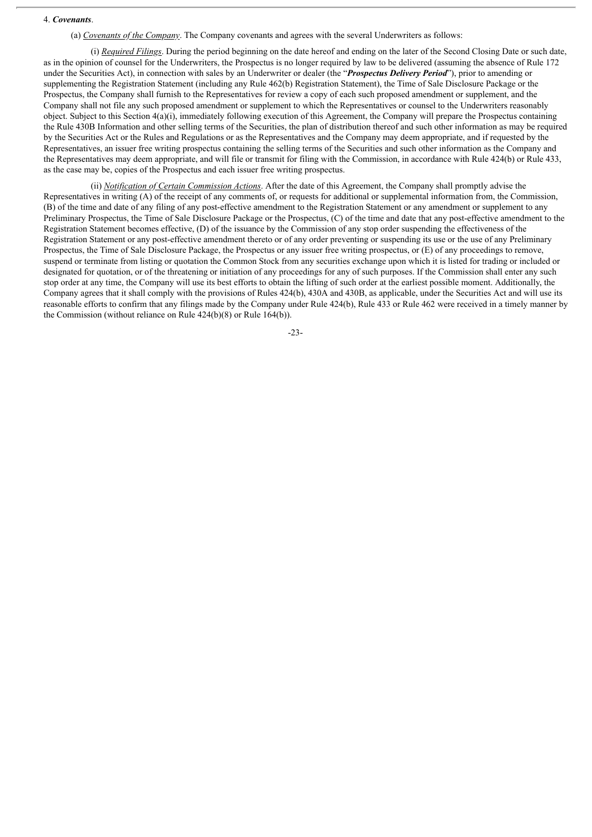## 4. *Covenants*.

(a) *Covenants of the Company*. The Company covenants and agrees with the several Underwriters as follows:

(i) *Required Filings*. During the period beginning on the date hereof and ending on the later of the Second Closing Date or such date, as in the opinion of counsel for the Underwriters, the Prospectus is no longer required by law to be delivered (assuming the absence of Rule 172 under the Securities Act), in connection with sales by an Underwriter or dealer (the "*Prospectus Delivery Period*"), prior to amending or supplementing the Registration Statement (including any Rule 462(b) Registration Statement), the Time of Sale Disclosure Package or the Prospectus, the Company shall furnish to the Representatives for review a copy of each such proposed amendment or supplement, and the Company shall not file any such proposed amendment or supplement to which the Representatives or counsel to the Underwriters reasonably object. Subject to this Section 4(a)(i), immediately following execution of this Agreement, the Company will prepare the Prospectus containing the Rule 430B Information and other selling terms of the Securities, the plan of distribution thereof and such other information as may be required by the Securities Act or the Rules and Regulations or as the Representatives and the Company may deem appropriate, and if requested by the Representatives, an issuer free writing prospectus containing the selling terms of the Securities and such other information as the Company and the Representatives may deem appropriate, and will file or transmit for filing with the Commission, in accordance with Rule 424(b) or Rule 433, as the case may be, copies of the Prospectus and each issuer free writing prospectus.

(ii) *Notification of Certain Commission Actions*. After the date of this Agreement, the Company shall promptly advise the Representatives in writing (A) of the receipt of any comments of, or requests for additional or supplemental information from, the Commission, (B) of the time and date of any filing of any post-effective amendment to the Registration Statement or any amendment or supplement to any Preliminary Prospectus, the Time of Sale Disclosure Package or the Prospectus, (C) of the time and date that any post-effective amendment to the Registration Statement becomes effective, (D) of the issuance by the Commission of any stop order suspending the effectiveness of the Registration Statement or any post-effective amendment thereto or of any order preventing or suspending its use or the use of any Preliminary Prospectus, the Time of Sale Disclosure Package, the Prospectus or any issuer free writing prospectus, or (E) of any proceedings to remove, suspend or terminate from listing or quotation the Common Stock from any securities exchange upon which it is listed for trading or included or designated for quotation, or of the threatening or initiation of any proceedings for any of such purposes. If the Commission shall enter any such stop order at any time, the Company will use its best efforts to obtain the lifting of such order at the earliest possible moment. Additionally, the Company agrees that it shall comply with the provisions of Rules 424(b), 430A and 430B, as applicable, under the Securities Act and will use its reasonable efforts to confirm that any filings made by the Company under Rule 424(b), Rule 433 or Rule 462 were received in a timely manner by the Commission (without reliance on Rule 424(b)(8) or Rule 164(b)).

-23-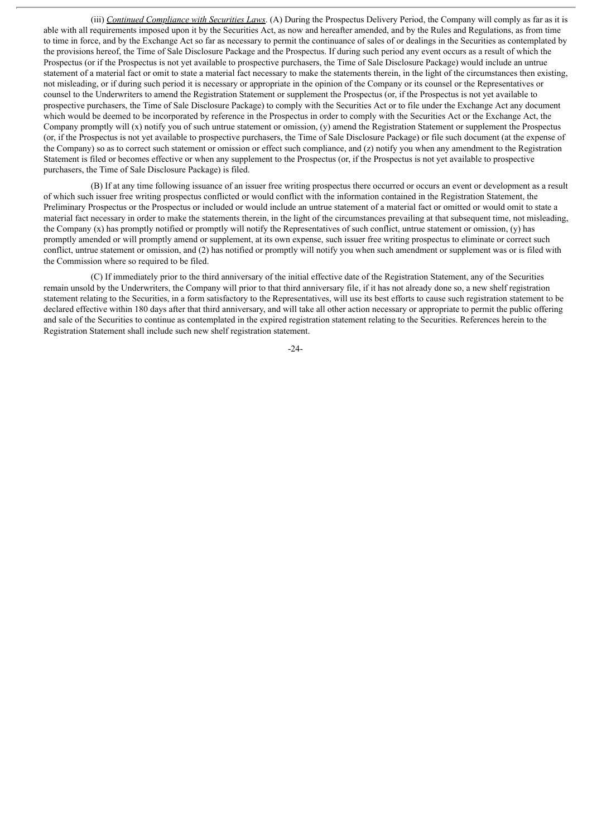(iii) *Continued Compliance with Securities Laws*. (A) During the Prospectus Delivery Period, the Company will comply as far as it is able with all requirements imposed upon it by the Securities Act, as now and hereafter amended, and by the Rules and Regulations, as from time to time in force, and by the Exchange Act so far as necessary to permit the continuance of sales of or dealings in the Securities as contemplated by the provisions hereof, the Time of Sale Disclosure Package and the Prospectus. If during such period any event occurs as a result of which the Prospectus (or if the Prospectus is not yet available to prospective purchasers, the Time of Sale Disclosure Package) would include an untrue statement of a material fact or omit to state a material fact necessary to make the statements therein, in the light of the circumstances then existing, not misleading, or if during such period it is necessary or appropriate in the opinion of the Company or its counsel or the Representatives or counsel to the Underwriters to amend the Registration Statement or supplement the Prospectus (or, if the Prospectus is not yet available to prospective purchasers, the Time of Sale Disclosure Package) to comply with the Securities Act or to file under the Exchange Act any document which would be deemed to be incorporated by reference in the Prospectus in order to comply with the Securities Act or the Exchange Act, the Company promptly will (x) notify you of such untrue statement or omission, (y) amend the Registration Statement or supplement the Prospectus (or, if the Prospectus is not yet available to prospective purchasers, the Time of Sale Disclosure Package) or file such document (at the expense of the Company) so as to correct such statement or omission or effect such compliance, and (z) notify you when any amendment to the Registration Statement is filed or becomes effective or when any supplement to the Prospectus (or, if the Prospectus is not yet available to prospective purchasers, the Time of Sale Disclosure Package) is filed.

(B) If at any time following issuance of an issuer free writing prospectus there occurred or occurs an event or development as a result of which such issuer free writing prospectus conflicted or would conflict with the information contained in the Registration Statement, the Preliminary Prospectus or the Prospectus or included or would include an untrue statement of a material fact or omitted or would omit to state a material fact necessary in order to make the statements therein, in the light of the circumstances prevailing at that subsequent time, not misleading, the Company  $(x)$  has promptly notified or promptly will notify the Representatives of such conflict, untrue statement or omission,  $(y)$  has promptly amended or will promptly amend or supplement, at its own expense, such issuer free writing prospectus to eliminate or correct such conflict, untrue statement or omission, and (2) has notified or promptly will notify you when such amendment or supplement was or is filed with the Commission where so required to be filed.

(C) If immediately prior to the third anniversary of the initial effective date of the Registration Statement, any of the Securities remain unsold by the Underwriters, the Company will prior to that third anniversary file, if it has not already done so, a new shelf registration statement relating to the Securities, in a form satisfactory to the Representatives, will use its best efforts to cause such registration statement to be declared effective within 180 days after that third anniversary, and will take all other action necessary or appropriate to permit the public offering and sale of the Securities to continue as contemplated in the expired registration statement relating to the Securities. References herein to the Registration Statement shall include such new shelf registration statement.

-24-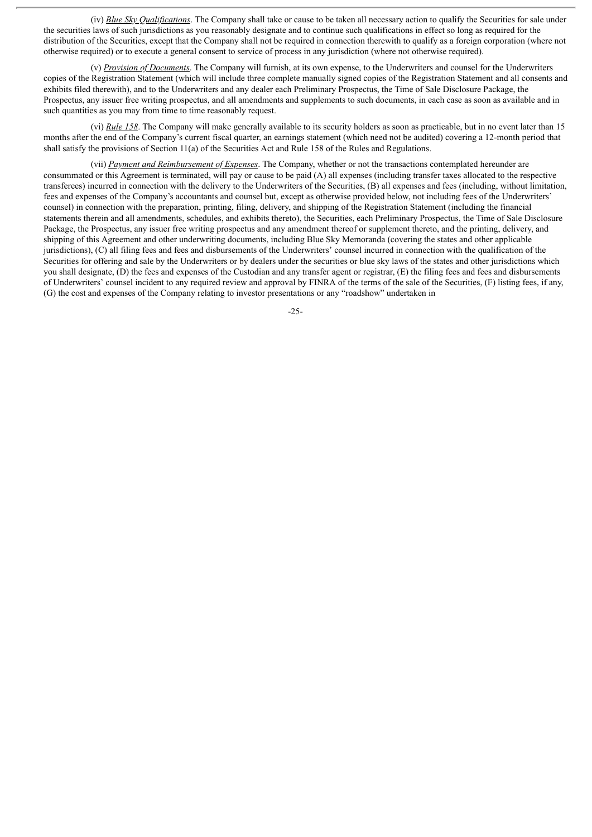(iv) *Blue Sky Qualifications*. The Company shall take or cause to be taken all necessary action to qualify the Securities for sale under the securities laws of such jurisdictions as you reasonably designate and to continue such qualifications in effect so long as required for the distribution of the Securities, except that the Company shall not be required in connection therewith to qualify as a foreign corporation (where not otherwise required) or to execute a general consent to service of process in any jurisdiction (where not otherwise required).

(v) *Provision of Documents*. The Company will furnish, at its own expense, to the Underwriters and counsel for the Underwriters copies of the Registration Statement (which will include three complete manually signed copies of the Registration Statement and all consents and exhibits filed therewith), and to the Underwriters and any dealer each Preliminary Prospectus, the Time of Sale Disclosure Package, the Prospectus, any issuer free writing prospectus, and all amendments and supplements to such documents, in each case as soon as available and in such quantities as you may from time to time reasonably request.

(vi) *Rule 158*. The Company will make generally available to its security holders as soon as practicable, but in no event later than 15 months after the end of the Company's current fiscal quarter, an earnings statement (which need not be audited) covering a 12-month period that shall satisfy the provisions of Section 11(a) of the Securities Act and Rule 158 of the Rules and Regulations.

(vii) *Payment and Reimbursement of Expenses*. The Company, whether or not the transactions contemplated hereunder are consummated or this Agreement is terminated, will pay or cause to be paid (A) all expenses (including transfer taxes allocated to the respective transferees) incurred in connection with the delivery to the Underwriters of the Securities, (B) all expenses and fees (including, without limitation, fees and expenses of the Company's accountants and counsel but, except as otherwise provided below, not including fees of the Underwriters' counsel) in connection with the preparation, printing, filing, delivery, and shipping of the Registration Statement (including the financial statements therein and all amendments, schedules, and exhibits thereto), the Securities, each Preliminary Prospectus, the Time of Sale Disclosure Package, the Prospectus, any issuer free writing prospectus and any amendment thereof or supplement thereto, and the printing, delivery, and shipping of this Agreement and other underwriting documents, including Blue Sky Memoranda (covering the states and other applicable jurisdictions), (C) all filing fees and fees and disbursements of the Underwriters' counsel incurred in connection with the qualification of the Securities for offering and sale by the Underwriters or by dealers under the securities or blue sky laws of the states and other jurisdictions which you shall designate, (D) the fees and expenses of the Custodian and any transfer agent or registrar, (E) the filing fees and fees and disbursements of Underwriters' counsel incident to any required review and approval by FINRA of the terms of the sale of the Securities, (F) listing fees, if any, (G) the cost and expenses of the Company relating to investor presentations or any "roadshow" undertaken in

-25-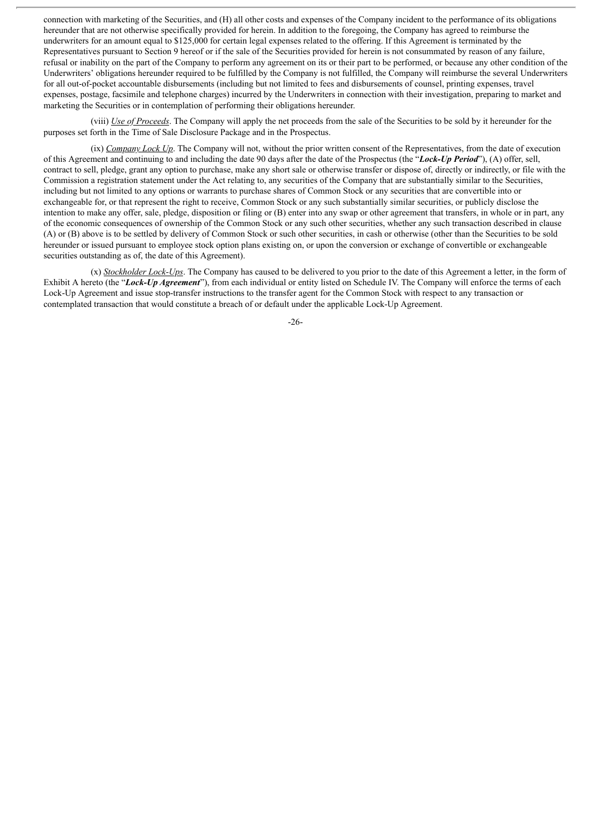connection with marketing of the Securities, and (H) all other costs and expenses of the Company incident to the performance of its obligations hereunder that are not otherwise specifically provided for herein. In addition to the foregoing, the Company has agreed to reimburse the underwriters for an amount equal to \$125,000 for certain legal expenses related to the offering. If this Agreement is terminated by the Representatives pursuant to Section 9 hereof or if the sale of the Securities provided for herein is not consummated by reason of any failure, refusal or inability on the part of the Company to perform any agreement on its or their part to be performed, or because any other condition of the Underwriters' obligations hereunder required to be fulfilled by the Company is not fulfilled, the Company will reimburse the several Underwriters for all out-of-pocket accountable disbursements (including but not limited to fees and disbursements of counsel, printing expenses, travel expenses, postage, facsimile and telephone charges) incurred by the Underwriters in connection with their investigation, preparing to market and marketing the Securities or in contemplation of performing their obligations hereunder.

(viii) *Use of Proceeds*. The Company will apply the net proceeds from the sale of the Securities to be sold by it hereunder for the purposes set forth in the Time of Sale Disclosure Package and in the Prospectus.

(ix) *Company Lock Up*. The Company will not, without the prior written consent of the Representatives, from the date of execution of this Agreement and continuing to and including the date 90 days after the date of the Prospectus (the "*Lock-Up Period*"), (A) offer, sell, contract to sell, pledge, grant any option to purchase, make any short sale or otherwise transfer or dispose of, directly or indirectly, or file with the Commission a registration statement under the Act relating to, any securities of the Company that are substantially similar to the Securities, including but not limited to any options or warrants to purchase shares of Common Stock or any securities that are convertible into or exchangeable for, or that represent the right to receive, Common Stock or any such substantially similar securities, or publicly disclose the intention to make any offer, sale, pledge, disposition or filing or (B) enter into any swap or other agreement that transfers, in whole or in part, any of the economic consequences of ownership of the Common Stock or any such other securities, whether any such transaction described in clause (A) or (B) above is to be settled by delivery of Common Stock or such other securities, in cash or otherwise (other than the Securities to be sold hereunder or issued pursuant to employee stock option plans existing on, or upon the conversion or exchange of convertible or exchangeable securities outstanding as of, the date of this Agreement).

(x) *Stockholder Lock-Ups*. The Company has caused to be delivered to you prior to the date of this Agreement a letter, in the form of Exhibit A hereto (the "*Lock-Up Agreement*"), from each individual or entity listed on Schedule IV. The Company will enforce the terms of each Lock-Up Agreement and issue stop-transfer instructions to the transfer agent for the Common Stock with respect to any transaction or contemplated transaction that would constitute a breach of or default under the applicable Lock-Up Agreement.

-26-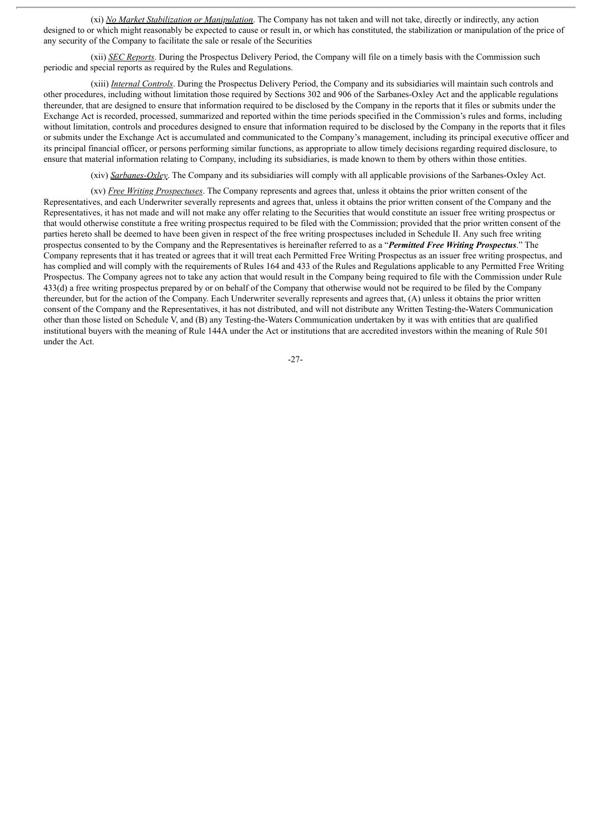(xi) *No Market Stabilization or Manipulation*. The Company has not taken and will not take, directly or indirectly, any action designed to or which might reasonably be expected to cause or result in, or which has constituted, the stabilization or manipulation of the price of any security of the Company to facilitate the sale or resale of the Securities

(xii) *SEC Reports*. During the Prospectus Delivery Period, the Company will file on a timely basis with the Commission such periodic and special reports as required by the Rules and Regulations.

(xiii) *Internal Controls*. During the Prospectus Delivery Period, the Company and its subsidiaries will maintain such controls and other procedures, including without limitation those required by Sections 302 and 906 of the Sarbanes-Oxley Act and the applicable regulations thereunder, that are designed to ensure that information required to be disclosed by the Company in the reports that it files or submits under the Exchange Act is recorded, processed, summarized and reported within the time periods specified in the Commission's rules and forms, including without limitation, controls and procedures designed to ensure that information required to be disclosed by the Company in the reports that it files or submits under the Exchange Act is accumulated and communicated to the Company's management, including its principal executive officer and its principal financial officer, or persons performing similar functions, as appropriate to allow timely decisions regarding required disclosure, to ensure that material information relating to Company, including its subsidiaries, is made known to them by others within those entities.

(xiv) *Sarbanes-Oxley*. The Company and its subsidiaries will comply with all applicable provisions of the Sarbanes-Oxley Act.

(xv) *Free Writing Prospectuses*. The Company represents and agrees that, unless it obtains the prior written consent of the Representatives, and each Underwriter severally represents and agrees that, unless it obtains the prior written consent of the Company and the Representatives, it has not made and will not make any offer relating to the Securities that would constitute an issuer free writing prospectus or that would otherwise constitute a free writing prospectus required to be filed with the Commission; provided that the prior written consent of the parties hereto shall be deemed to have been given in respect of the free writing prospectuses included in Schedule II. Any such free writing prospectus consented to by the Company and the Representatives is hereinafter referred to as a "*Permitted Free Writing Prospectus*." The Company represents that it has treated or agrees that it will treat each Permitted Free Writing Prospectus as an issuer free writing prospectus, and has complied and will comply with the requirements of Rules 164 and 433 of the Rules and Regulations applicable to any Permitted Free Writing Prospectus. The Company agrees not to take any action that would result in the Company being required to file with the Commission under Rule 433(d) a free writing prospectus prepared by or on behalf of the Company that otherwise would not be required to be filed by the Company thereunder, but for the action of the Company. Each Underwriter severally represents and agrees that, (A) unless it obtains the prior written consent of the Company and the Representatives, it has not distributed, and will not distribute any Written Testing-the-Waters Communication other than those listed on Schedule V, and (B) any Testing-the-Waters Communication undertaken by it was with entities that are qualified institutional buyers with the meaning of Rule 144A under the Act or institutions that are accredited investors within the meaning of Rule 501 under the Act.

-27-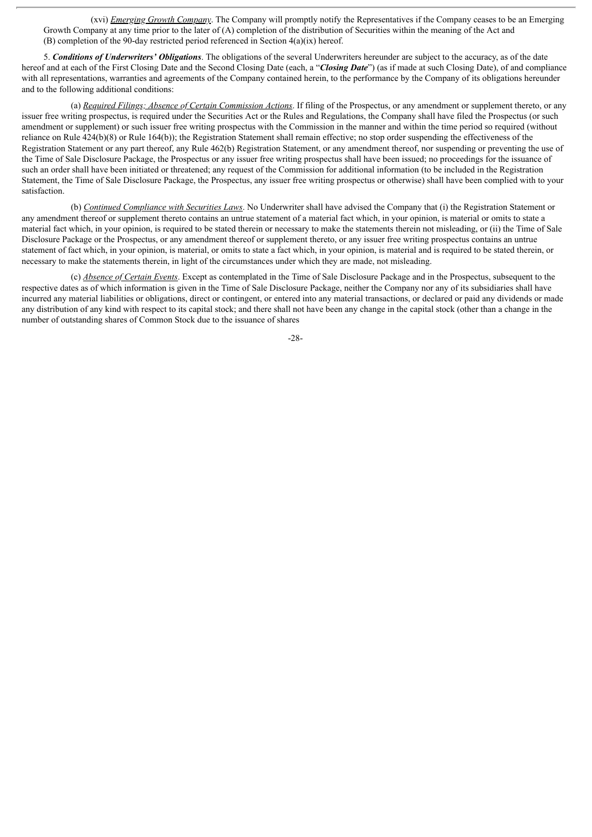(xvi) *Emerging Growth Company*. The Company will promptly notify the Representatives if the Company ceases to be an Emerging Growth Company at any time prior to the later of (A) completion of the distribution of Securities within the meaning of the Act and (B) completion of the 90-day restricted period referenced in Section 4(a)(ix) hereof.

5. *Conditions of Underwriters' Obligations*. The obligations of the several Underwriters hereunder are subject to the accuracy, as of the date hereof and at each of the First Closing Date and the Second Closing Date (each, a "*Closing Date*") (as if made at such Closing Date), of and compliance with all representations, warranties and agreements of the Company contained herein, to the performance by the Company of its obligations hereunder and to the following additional conditions:

(a) *Required Filings; Absence of Certain Commission Actions*. If filing of the Prospectus, or any amendment or supplement thereto, or any issuer free writing prospectus, is required under the Securities Act or the Rules and Regulations, the Company shall have filed the Prospectus (or such amendment or supplement) or such issuer free writing prospectus with the Commission in the manner and within the time period so required (without reliance on Rule 424(b)(8) or Rule 164(b)); the Registration Statement shall remain effective; no stop order suspending the effectiveness of the Registration Statement or any part thereof, any Rule 462(b) Registration Statement, or any amendment thereof, nor suspending or preventing the use of the Time of Sale Disclosure Package, the Prospectus or any issuer free writing prospectus shall have been issued; no proceedings for the issuance of such an order shall have been initiated or threatened; any request of the Commission for additional information (to be included in the Registration Statement, the Time of Sale Disclosure Package, the Prospectus, any issuer free writing prospectus or otherwise) shall have been complied with to your satisfaction.

(b) *Continued Compliance with Securities Laws*. No Underwriter shall have advised the Company that (i) the Registration Statement or any amendment thereof or supplement thereto contains an untrue statement of a material fact which, in your opinion, is material or omits to state a material fact which, in your opinion, is required to be stated therein or necessary to make the statements therein not misleading, or (ii) the Time of Sale Disclosure Package or the Prospectus, or any amendment thereof or supplement thereto, or any issuer free writing prospectus contains an untrue statement of fact which, in your opinion, is material, or omits to state a fact which, in your opinion, is material and is required to be stated therein, or necessary to make the statements therein, in light of the circumstances under which they are made, not misleading.

(c) *Absence of Certain Events*. Except as contemplated in the Time of Sale Disclosure Package and in the Prospectus, subsequent to the respective dates as of which information is given in the Time of Sale Disclosure Package, neither the Company nor any of its subsidiaries shall have incurred any material liabilities or obligations, direct or contingent, or entered into any material transactions, or declared or paid any dividends or made any distribution of any kind with respect to its capital stock; and there shall not have been any change in the capital stock (other than a change in the number of outstanding shares of Common Stock due to the issuance of shares

-28-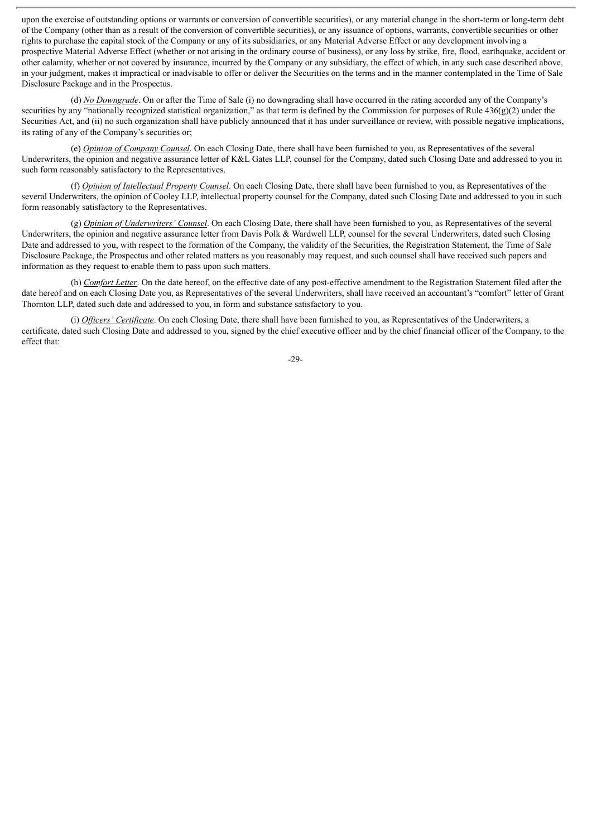upon the exercise of outstanding options or warrants or conversion of convertible securities), or any material change in the short-term or long-term debt of the Company (other than as a result of the conversion of convertible securities), or any issuance of options, warrants, convertible securities or other rights to purchase the capital stock of the Company or any of its subsidiaries, or any Material Adverse Effect or any development involving a prospective Material Adverse Effect (whether or not arising in the ordinary course of business), or any loss by strike, fire, flood, earthquake, accident or other calamity, whether or not covered by insurance, incurred by the Company or any subsidiary, the effect of which, in any such case described above, in your judgment, makes it impractical or inadvisable to offer or deliver the Securities on the terms and in the manner contemplated in the Time of Sale Disclosure Package and in the Prospectus.

(d) *No Downgrade*. On or after the Time of Sale (i) no downgrading shall have occurred in the rating accorded any of the Company's securities by any "nationally recognized statistical organization," as that term is defined by the Commission for purposes of Rule  $436(g)(2)$  under the Securities Act, and (ii) no such organization shall have publicly announced that it has under surveillance or review, with possible negative implications, its rating of any of the Company's securities or;

(e) *Opinion of Company Counsel*. On each Closing Date, there shall have been furnished to you, as Representatives of the several Underwriters, the opinion and negative assurance letter of K&L Gates LLP, counsel for the Company, dated such Closing Date and addressed to you in such form reasonably satisfactory to the Representatives.

(f) *Opinion of Intellectual Property Counsel*. On each Closing Date, there shall have been furnished to you, as Representatives of the several Underwriters, the opinion of Cooley LLP, intellectual property counsel for the Company, dated such Closing Date and addressed to you in such form reasonably satisfactory to the Representatives.

(g) *Opinion of Underwriters' Counsel*. On each Closing Date, there shall have been furnished to you, as Representatives of the several Underwriters, the opinion and negative assurance letter from Davis Polk & Wardwell LLP, counsel for the several Underwriters, dated such Closing Date and addressed to you, with respect to the formation of the Company, the validity of the Securities, the Registration Statement, the Time of Sale Disclosure Package, the Prospectus and other related matters as you reasonably may request, and such counsel shall have received such papers and information as they request to enable them to pass upon such matters.

(h) *Comfort Letter*. On the date hereof, on the effective date of any post-effective amendment to the Registration Statement filed after the date hereof and on each Closing Date you, as Representatives of the several Underwriters, shall have received an accountant's "comfort" letter of Grant Thornton LLP, dated such date and addressed to you, in form and substance satisfactory to you.

(i) *Of icers' Certificate*. On each Closing Date, there shall have been furnished to you, as Representatives of the Underwriters, a certificate, dated such Closing Date and addressed to you, signed by the chief executive officer and by the chief financial officer of the Company, to the effect that:

-29-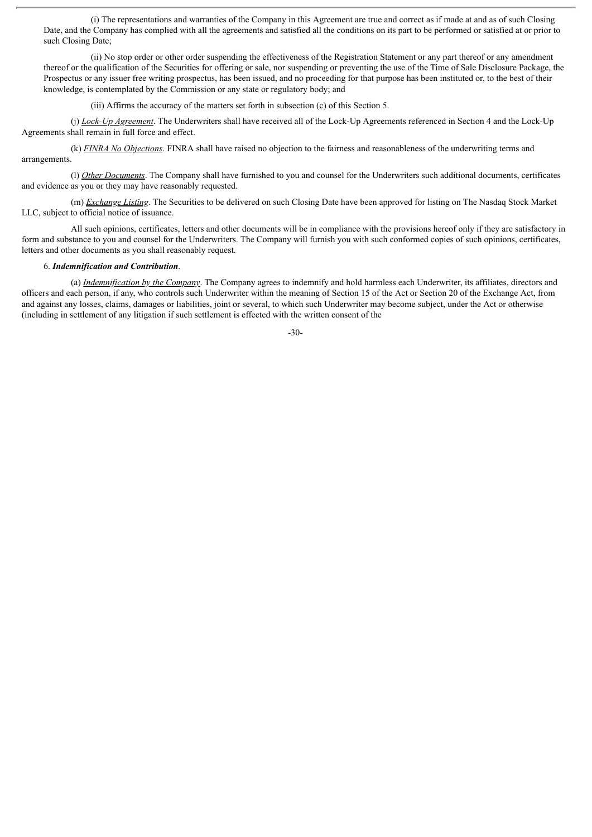(i) The representations and warranties of the Company in this Agreement are true and correct as if made at and as of such Closing Date, and the Company has complied with all the agreements and satisfied all the conditions on its part to be performed or satisfied at or prior to such Closing Date;

(ii) No stop order or other order suspending the effectiveness of the Registration Statement or any part thereof or any amendment thereof or the qualification of the Securities for offering or sale, nor suspending or preventing the use of the Time of Sale Disclosure Package, the Prospectus or any issuer free writing prospectus, has been issued, and no proceeding for that purpose has been instituted or, to the best of their knowledge, is contemplated by the Commission or any state or regulatory body; and

(iii) Affirms the accuracy of the matters set forth in subsection (c) of this Section 5.

(j) *Lock-Up Agreement*. The Underwriters shall have received all of the Lock-Up Agreements referenced in Section 4 and the Lock-Up Agreements shall remain in full force and effect.

(k) *FINRA No Objections*. FINRA shall have raised no objection to the fairness and reasonableness of the underwriting terms and arrangements.

(l) *Other Documents*. The Company shall have furnished to you and counsel for the Underwriters such additional documents, certificates and evidence as you or they may have reasonably requested.

(m) *Exchange Listing*. The Securities to be delivered on such Closing Date have been approved for listing on The Nasdaq Stock Market LLC, subject to official notice of issuance.

All such opinions, certificates, letters and other documents will be in compliance with the provisions hereof only if they are satisfactory in form and substance to you and counsel for the Underwriters. The Company will furnish you with such conformed copies of such opinions, certificates, letters and other documents as you shall reasonably request.

## 6. *Indemnification and Contribution*.

(a) *Indemnification by the Company*. The Company agrees to indemnify and hold harmless each Underwriter, its affiliates, directors and officers and each person, if any, who controls such Underwriter within the meaning of Section 15 of the Act or Section 20 of the Exchange Act, from and against any losses, claims, damages or liabilities, joint or several, to which such Underwriter may become subject, under the Act or otherwise (including in settlement of any litigation if such settlement is effected with the written consent of the

-30-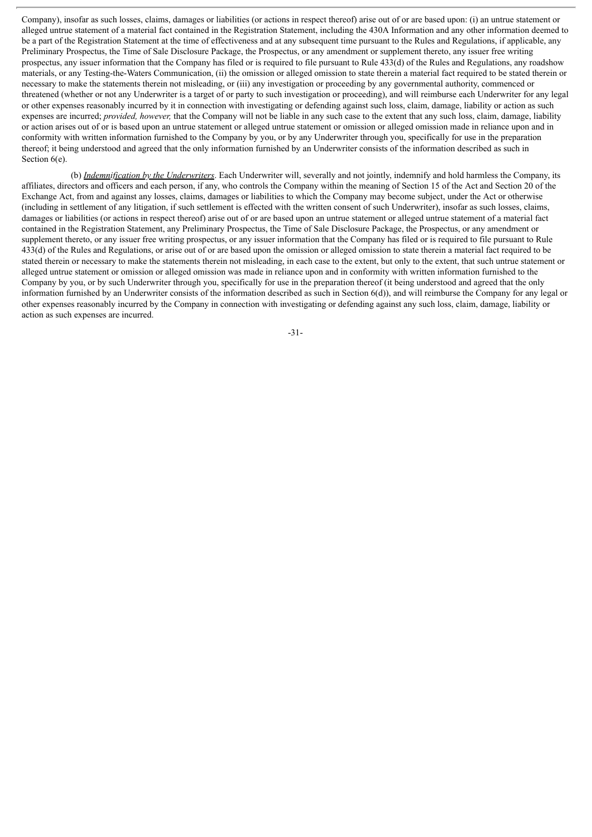Company), insofar as such losses, claims, damages or liabilities (or actions in respect thereof) arise out of or are based upon: (i) an untrue statement or alleged untrue statement of a material fact contained in the Registration Statement, including the 430A Information and any other information deemed to be a part of the Registration Statement at the time of effectiveness and at any subsequent time pursuant to the Rules and Regulations, if applicable, any Preliminary Prospectus, the Time of Sale Disclosure Package, the Prospectus, or any amendment or supplement thereto, any issuer free writing prospectus, any issuer information that the Company has filed or is required to file pursuant to Rule 433(d) of the Rules and Regulations, any roadshow materials, or any Testing-the-Waters Communication, (ii) the omission or alleged omission to state therein a material fact required to be stated therein or necessary to make the statements therein not misleading, or (iii) any investigation or proceeding by any governmental authority, commenced or threatened (whether or not any Underwriter is a target of or party to such investigation or proceeding), and will reimburse each Underwriter for any legal or other expenses reasonably incurred by it in connection with investigating or defending against such loss, claim, damage, liability or action as such expenses are incurred; *provided, however,* that the Company will not be liable in any such case to the extent that any such loss, claim, damage, liability or action arises out of or is based upon an untrue statement or alleged untrue statement or omission or alleged omission made in reliance upon and in conformity with written information furnished to the Company by you, or by any Underwriter through you, specifically for use in the preparation thereof; it being understood and agreed that the only information furnished by an Underwriter consists of the information described as such in Section  $6(e)$ .

(b) *Indemnification by the Underwriters*. Each Underwriter will, severally and not jointly, indemnify and hold harmless the Company, its affiliates, directors and officers and each person, if any, who controls the Company within the meaning of Section 15 of the Act and Section 20 of the Exchange Act, from and against any losses, claims, damages or liabilities to which the Company may become subject, under the Act or otherwise (including in settlement of any litigation, if such settlement is effected with the written consent of such Underwriter), insofar as such losses, claims, damages or liabilities (or actions in respect thereof) arise out of or are based upon an untrue statement or alleged untrue statement of a material fact contained in the Registration Statement, any Preliminary Prospectus, the Time of Sale Disclosure Package, the Prospectus, or any amendment or supplement thereto, or any issuer free writing prospectus, or any issuer information that the Company has filed or is required to file pursuant to Rule 433(d) of the Rules and Regulations, or arise out of or are based upon the omission or alleged omission to state therein a material fact required to be stated therein or necessary to make the statements therein not misleading, in each case to the extent, but only to the extent, that such untrue statement or alleged untrue statement or omission or alleged omission was made in reliance upon and in conformity with written information furnished to the Company by you, or by such Underwriter through you, specifically for use in the preparation thereof (it being understood and agreed that the only information furnished by an Underwriter consists of the information described as such in Section 6(d)), and will reimburse the Company for any legal or other expenses reasonably incurred by the Company in connection with investigating or defending against any such loss, claim, damage, liability or action as such expenses are incurred.

-31-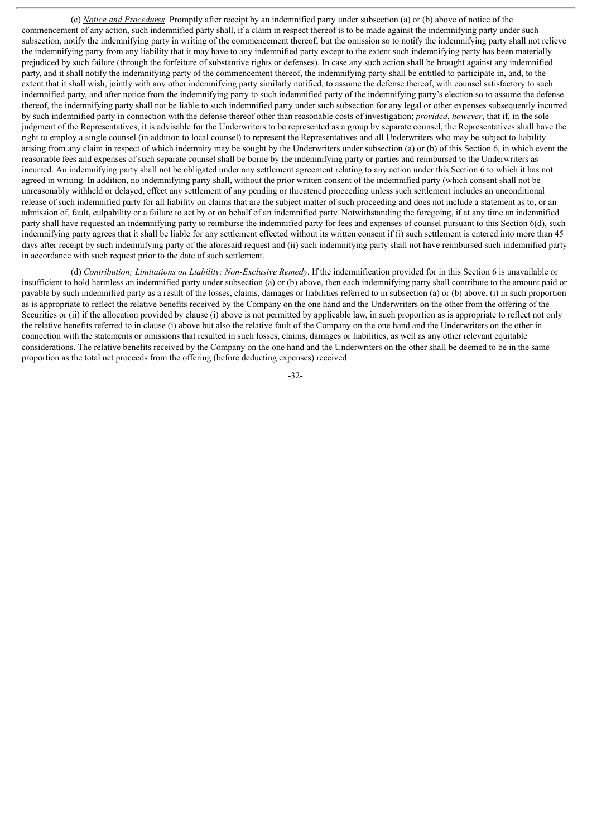(c) *Notice and Procedures*. Promptly after receipt by an indemnified party under subsection (a) or (b) above of notice of the commencement of any action, such indemnified party shall, if a claim in respect thereof is to be made against the indemnifying party under such subsection, notify the indemnifying party in writing of the commencement thereof; but the omission so to notify the indemnifying party shall not relieve the indemnifying party from any liability that it may have to any indemnified party except to the extent such indemnifying party has been materially prejudiced by such failure (through the forfeiture of substantive rights or defenses). In case any such action shall be brought against any indemnified party, and it shall notify the indemnifying party of the commencement thereof, the indemnifying party shall be entitled to participate in, and, to the extent that it shall wish, jointly with any other indemnifying party similarly notified, to assume the defense thereof, with counsel satisfactory to such indemnified party, and after notice from the indemnifying party to such indemnified party of the indemnifying party's election so to assume the defense thereof, the indemnifying party shall not be liable to such indemnified party under such subsection for any legal or other expenses subsequently incurred by such indemnified party in connection with the defense thereof other than reasonable costs of investigation; *provided*, *however*, that if, in the sole judgment of the Representatives, it is advisable for the Underwriters to be represented as a group by separate counsel, the Representatives shall have the right to employ a single counsel (in addition to local counsel) to represent the Representatives and all Underwriters who may be subject to liability arising from any claim in respect of which indemnity may be sought by the Underwriters under subsection (a) or (b) of this Section 6, in which event the reasonable fees and expenses of such separate counsel shall be borne by the indemnifying party or parties and reimbursed to the Underwriters as incurred. An indemnifying party shall not be obligated under any settlement agreement relating to any action under this Section 6 to which it has not agreed in writing. In addition, no indemnifying party shall, without the prior written consent of the indemnified party (which consent shall not be unreasonably withheld or delayed, effect any settlement of any pending or threatened proceeding unless such settlement includes an unconditional release of such indemnified party for all liability on claims that are the subject matter of such proceeding and does not include a statement as to, or an admission of, fault, culpability or a failure to act by or on behalf of an indemnified party. Notwithstanding the foregoing, if at any time an indemnified party shall have requested an indemnifying party to reimburse the indemnified party for fees and expenses of counsel pursuant to this Section 6(d), such indemnifying party agrees that it shall be liable for any settlement effected without its written consent if (i) such settlement is entered into more than 45 days after receipt by such indemnifying party of the aforesaid request and (ii) such indemnifying party shall not have reimbursed such indemnified party in accordance with such request prior to the date of such settlement.

(d) *Contribution; Limitations on Liability; Non-Exclusive Remedy*. If the indemnification provided for in this Section 6 is unavailable or insufficient to hold harmless an indemnified party under subsection (a) or (b) above, then each indemnifying party shall contribute to the amount paid or payable by such indemnified party as a result of the losses, claims, damages or liabilities referred to in subsection (a) or (b) above, (i) in such proportion as is appropriate to reflect the relative benefits received by the Company on the one hand and the Underwriters on the other from the offering of the Securities or (ii) if the allocation provided by clause (i) above is not permitted by applicable law, in such proportion as is appropriate to reflect not only the relative benefits referred to in clause (i) above but also the relative fault of the Company on the one hand and the Underwriters on the other in connection with the statements or omissions that resulted in such losses, claims, damages or liabilities, as well as any other relevant equitable considerations. The relative benefits received by the Company on the one hand and the Underwriters on the other shall be deemed to be in the same proportion as the total net proceeds from the offering (before deducting expenses) received

-32-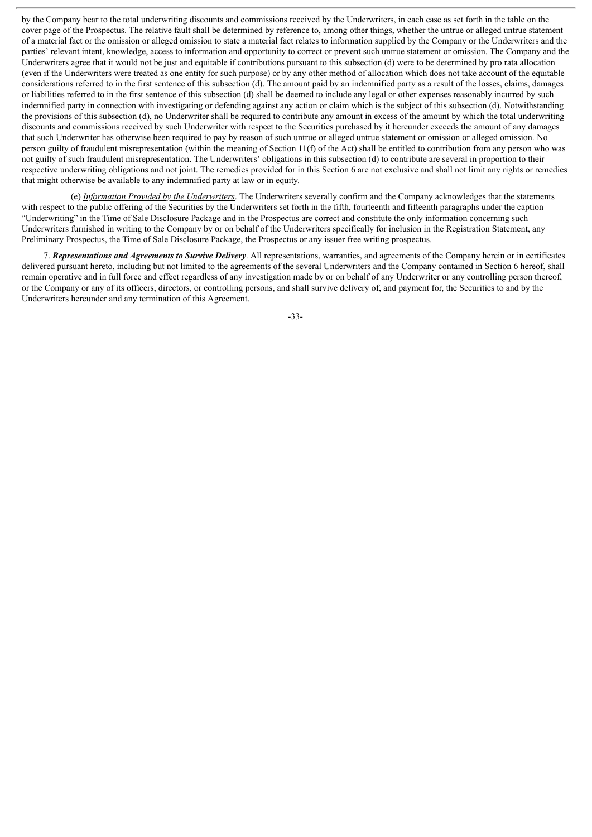by the Company bear to the total underwriting discounts and commissions received by the Underwriters, in each case as set forth in the table on the cover page of the Prospectus. The relative fault shall be determined by reference to, among other things, whether the untrue or alleged untrue statement of a material fact or the omission or alleged omission to state a material fact relates to information supplied by the Company or the Underwriters and the parties' relevant intent, knowledge, access to information and opportunity to correct or prevent such untrue statement or omission. The Company and the Underwriters agree that it would not be just and equitable if contributions pursuant to this subsection (d) were to be determined by pro rata allocation (even if the Underwriters were treated as one entity for such purpose) or by any other method of allocation which does not take account of the equitable considerations referred to in the first sentence of this subsection (d). The amount paid by an indemnified party as a result of the losses, claims, damages or liabilities referred to in the first sentence of this subsection (d) shall be deemed to include any legal or other expenses reasonably incurred by such indemnified party in connection with investigating or defending against any action or claim which is the subject of this subsection (d). Notwithstanding the provisions of this subsection (d), no Underwriter shall be required to contribute any amount in excess of the amount by which the total underwriting discounts and commissions received by such Underwriter with respect to the Securities purchased by it hereunder exceeds the amount of any damages that such Underwriter has otherwise been required to pay by reason of such untrue or alleged untrue statement or omission or alleged omission. No person guilty of fraudulent misrepresentation (within the meaning of Section 11(f) of the Act) shall be entitled to contribution from any person who was not guilty of such fraudulent misrepresentation. The Underwriters' obligations in this subsection (d) to contribute are several in proportion to their respective underwriting obligations and not joint. The remedies provided for in this Section 6 are not exclusive and shall not limit any rights or remedies that might otherwise be available to any indemnified party at law or in equity.

(e) *Information Provided by the Underwriters*. The Underwriters severally confirm and the Company acknowledges that the statements with respect to the public offering of the Securities by the Underwriters set forth in the fifth, fourteenth and fifteenth paragraphs under the caption "Underwriting" in the Time of Sale Disclosure Package and in the Prospectus are correct and constitute the only information concerning such Underwriters furnished in writing to the Company by or on behalf of the Underwriters specifically for inclusion in the Registration Statement, any Preliminary Prospectus, the Time of Sale Disclosure Package, the Prospectus or any issuer free writing prospectus.

7. *Representations and Agreements to Survive Delivery*. All representations, warranties, and agreements of the Company herein or in certificates delivered pursuant hereto, including but not limited to the agreements of the several Underwriters and the Company contained in Section 6 hereof, shall remain operative and in full force and effect regardless of any investigation made by or on behalf of any Underwriter or any controlling person thereof, or the Company or any of its officers, directors, or controlling persons, and shall survive delivery of, and payment for, the Securities to and by the Underwriters hereunder and any termination of this Agreement.

-33-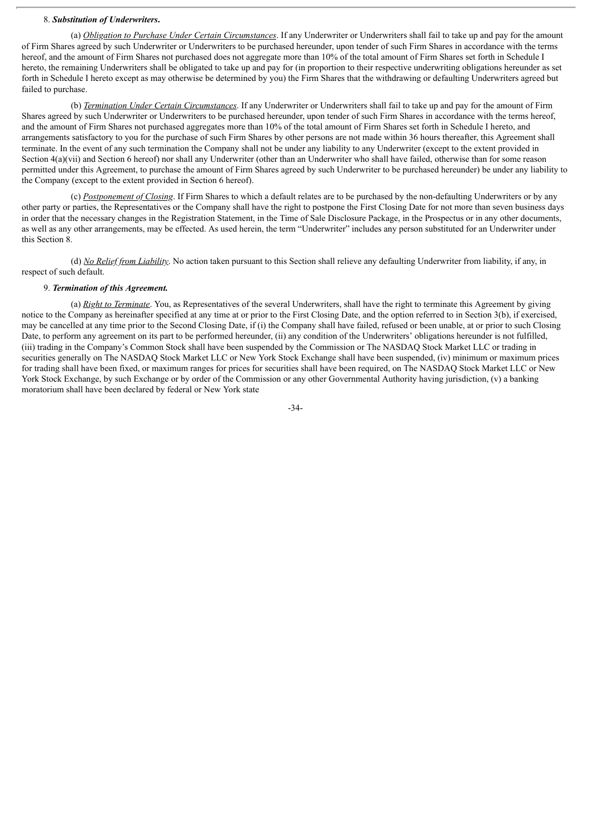#### 8. *Substitution of Underwriters***.**

(a) *Obligation to Purchase Under Certain Circumstances*. If any Underwriter or Underwriters shall fail to take up and pay for the amount of Firm Shares agreed by such Underwriter or Underwriters to be purchased hereunder, upon tender of such Firm Shares in accordance with the terms hereof, and the amount of Firm Shares not purchased does not aggregate more than 10% of the total amount of Firm Shares set forth in Schedule I hereto, the remaining Underwriters shall be obligated to take up and pay for (in proportion to their respective underwriting obligations hereunder as set forth in Schedule I hereto except as may otherwise be determined by you) the Firm Shares that the withdrawing or defaulting Underwriters agreed but failed to purchase.

(b) *Termination Under Certain Circumstances*. If any Underwriter or Underwriters shall fail to take up and pay for the amount of Firm Shares agreed by such Underwriter or Underwriters to be purchased hereunder, upon tender of such Firm Shares in accordance with the terms hereof, and the amount of Firm Shares not purchased aggregates more than 10% of the total amount of Firm Shares set forth in Schedule I hereto, and arrangements satisfactory to you for the purchase of such Firm Shares by other persons are not made within 36 hours thereafter, this Agreement shall terminate. In the event of any such termination the Company shall not be under any liability to any Underwriter (except to the extent provided in Section  $4(a)(vi)$  and Section 6 hereof) nor shall any Underwriter (other than an Underwriter who shall have failed, otherwise than for some reason permitted under this Agreement, to purchase the amount of Firm Shares agreed by such Underwriter to be purchased hereunder) be under any liability to the Company (except to the extent provided in Section 6 hereof).

(c) *Postponement of Closing*. If Firm Shares to which a default relates are to be purchased by the non-defaulting Underwriters or by any other party or parties, the Representatives or the Company shall have the right to postpone the First Closing Date for not more than seven business days in order that the necessary changes in the Registration Statement, in the Time of Sale Disclosure Package, in the Prospectus or in any other documents, as well as any other arrangements, may be effected. As used herein, the term "Underwriter" includes any person substituted for an Underwriter under this Section 8.

(d) *No Relief from Liability*. No action taken pursuant to this Section shall relieve any defaulting Underwriter from liability, if any, in respect of such default.

#### 9. *Termination of this Agreement.*

(a) *Right to Terminate*. You, as Representatives of the several Underwriters, shall have the right to terminate this Agreement by giving notice to the Company as hereinafter specified at any time at or prior to the First Closing Date, and the option referred to in Section 3(b), if exercised, may be cancelled at any time prior to the Second Closing Date, if (i) the Company shall have failed, refused or been unable, at or prior to such Closing Date, to perform any agreement on its part to be performed hereunder, (ii) any condition of the Underwriters' obligations hereunder is not fulfilled, (iii) trading in the Company's Common Stock shall have been suspended by the Commission or The NASDAQ Stock Market LLC or trading in securities generally on The NASDAQ Stock Market LLC or New York Stock Exchange shall have been suspended, (iv) minimum or maximum prices for trading shall have been fixed, or maximum ranges for prices for securities shall have been required, on The NASDAQ Stock Market LLC or New York Stock Exchange, by such Exchange or by order of the Commission or any other Governmental Authority having jurisdiction, (v) a banking moratorium shall have been declared by federal or New York state

-34-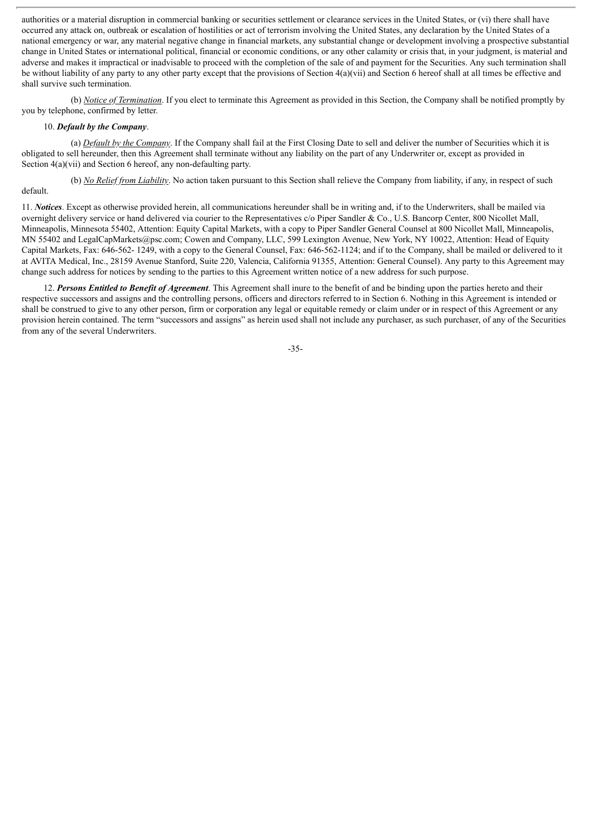authorities or a material disruption in commercial banking or securities settlement or clearance services in the United States, or (vi) there shall have occurred any attack on, outbreak or escalation of hostilities or act of terrorism involving the United States, any declaration by the United States of a national emergency or war, any material negative change in financial markets, any substantial change or development involving a prospective substantial change in United States or international political, financial or economic conditions, or any other calamity or crisis that, in your judgment, is material and adverse and makes it impractical or inadvisable to proceed with the completion of the sale of and payment for the Securities. Any such termination shall be without liability of any party to any other party except that the provisions of Section 4(a)(vii) and Section 6 hereof shall at all times be effective and shall survive such termination.

(b) *Notice of Termination*. If you elect to terminate this Agreement as provided in this Section, the Company shall be notified promptly by you by telephone, confirmed by letter.

## 10. *Default by the Company*.

(a) *Default by the Company*. If the Company shall fail at the First Closing Date to sell and deliver the number of Securities which it is obligated to sell hereunder, then this Agreement shall terminate without any liability on the part of any Underwriter or, except as provided in Section 4(a)(vii) and Section 6 hereof, any non-defaulting party.

(b) *No Relief from Liability*. No action taken pursuant to this Section shall relieve the Company from liability, if any, in respect of such

default.

11. *Notices*. Except as otherwise provided herein, all communications hereunder shall be in writing and, if to the Underwriters, shall be mailed via overnight delivery service or hand delivered via courier to the Representatives c/o Piper Sandler & Co., U.S. Bancorp Center, 800 Nicollet Mall, Minneapolis, Minnesota 55402, Attention: Equity Capital Markets, with a copy to Piper Sandler General Counsel at 800 Nicollet Mall, Minneapolis, MN 55402 and LegalCapMarkets@psc.com; Cowen and Company, LLC, 599 Lexington Avenue, New York, NY 10022, Attention: Head of Equity Capital Markets, Fax: 646-562- 1249, with a copy to the General Counsel, Fax: 646-562-1124; and if to the Company, shall be mailed or delivered to it at AVITA Medical, Inc., 28159 Avenue Stanford, Suite 220, Valencia, California 91355, Attention: General Counsel). Any party to this Agreement may change such address for notices by sending to the parties to this Agreement written notice of a new address for such purpose.

12. *Persons Entitled to Benefit of Agreement*. This Agreement shall inure to the benefit of and be binding upon the parties hereto and their respective successors and assigns and the controlling persons, officers and directors referred to in Section 6. Nothing in this Agreement is intended or shall be construed to give to any other person, firm or corporation any legal or equitable remedy or claim under or in respect of this Agreement or any provision herein contained. The term "successors and assigns" as herein used shall not include any purchaser, as such purchaser, of any of the Securities from any of the several Underwriters.

-35-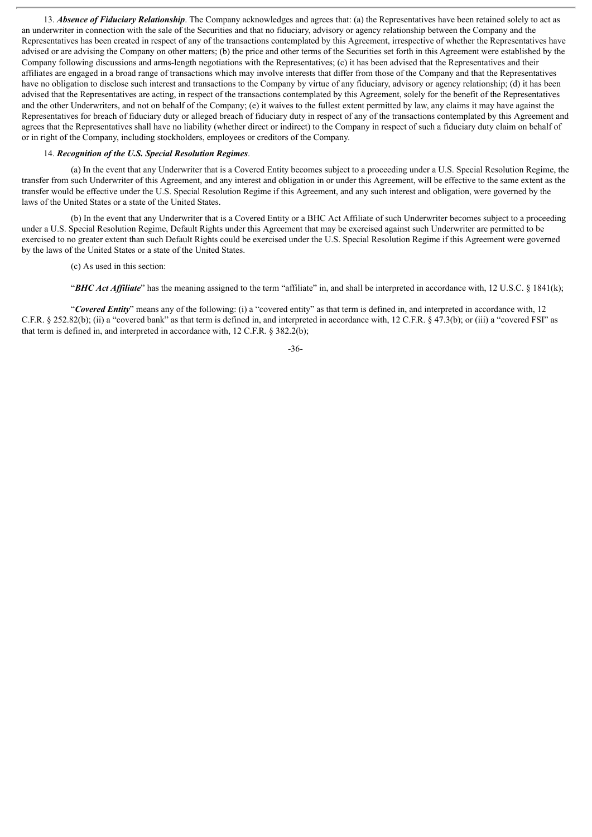13. *Absence of Fiduciary Relationship*. The Company acknowledges and agrees that: (a) the Representatives have been retained solely to act as an underwriter in connection with the sale of the Securities and that no fiduciary, advisory or agency relationship between the Company and the Representatives has been created in respect of any of the transactions contemplated by this Agreement, irrespective of whether the Representatives have advised or are advising the Company on other matters; (b) the price and other terms of the Securities set forth in this Agreement were established by the Company following discussions and arms-length negotiations with the Representatives; (c) it has been advised that the Representatives and their affiliates are engaged in a broad range of transactions which may involve interests that differ from those of the Company and that the Representatives have no obligation to disclose such interest and transactions to the Company by virtue of any fiduciary, advisory or agency relationship; (d) it has been advised that the Representatives are acting, in respect of the transactions contemplated by this Agreement, solely for the benefit of the Representatives and the other Underwriters, and not on behalf of the Company; (e) it waives to the fullest extent permitted by law, any claims it may have against the Representatives for breach of fiduciary duty or alleged breach of fiduciary duty in respect of any of the transactions contemplated by this Agreement and agrees that the Representatives shall have no liability (whether direct or indirect) to the Company in respect of such a fiduciary duty claim on behalf of or in right of the Company, including stockholders, employees or creditors of the Company.

#### 14. *Recognition of the U.S. Special Resolution Regimes*.

(a) In the event that any Underwriter that is a Covered Entity becomes subject to a proceeding under a U.S. Special Resolution Regime, the transfer from such Underwriter of this Agreement, and any interest and obligation in or under this Agreement, will be effective to the same extent as the transfer would be effective under the U.S. Special Resolution Regime if this Agreement, and any such interest and obligation, were governed by the laws of the United States or a state of the United States.

(b) In the event that any Underwriter that is a Covered Entity or a BHC Act Affiliate of such Underwriter becomes subject to a proceeding under a U.S. Special Resolution Regime, Default Rights under this Agreement that may be exercised against such Underwriter are permitted to be exercised to no greater extent than such Default Rights could be exercised under the U.S. Special Resolution Regime if this Agreement were governed by the laws of the United States or a state of the United States.

(c) As used in this section:

"BHC Act Affiliate" has the meaning assigned to the term "affiliate" in, and shall be interpreted in accordance with, 12 U.S.C. § 1841(k);

"*Covered Entity*" means any of the following: (i) a "covered entity" as that term is defined in, and interpreted in accordance with, 12 C.F.R. § 252.82(b); (ii) a "covered bank" as that term is defined in, and interpreted in accordance with, 12 C.F.R. § 47.3(b); or (iii) a "covered FSI" as that term is defined in, and interpreted in accordance with, 12 C.F.R. § 382.2(b);

-36-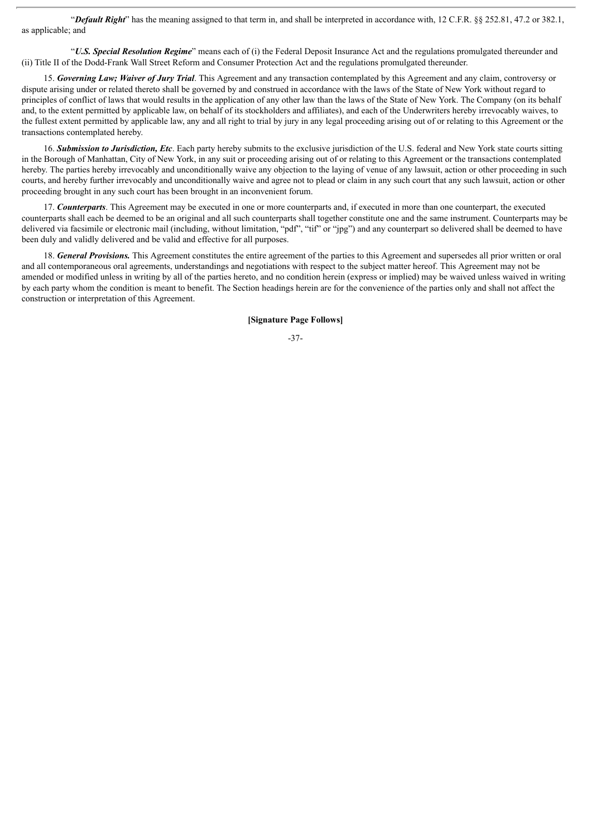"*Default Right*" has the meaning assigned to that term in, and shall be interpreted in accordance with, 12 C.F.R. §§ 252.81, 47.2 or 382.1, as applicable; and

"*U.S. Special Resolution Regime*" means each of (i) the Federal Deposit Insurance Act and the regulations promulgated thereunder and (ii) Title II of the Dodd-Frank Wall Street Reform and Consumer Protection Act and the regulations promulgated thereunder.

15. *Governing Law; Waiver of Jury Trial*. This Agreement and any transaction contemplated by this Agreement and any claim, controversy or dispute arising under or related thereto shall be governed by and construed in accordance with the laws of the State of New York without regard to principles of conflict of laws that would results in the application of any other law than the laws of the State of New York. The Company (on its behalf and, to the extent permitted by applicable law, on behalf of its stockholders and affiliates), and each of the Underwriters hereby irrevocably waives, to the fullest extent permitted by applicable law, any and all right to trial by jury in any legal proceeding arising out of or relating to this Agreement or the transactions contemplated hereby.

16. *Submission to Jurisdiction, Etc*. Each party hereby submits to the exclusive jurisdiction of the U.S. federal and New York state courts sitting in the Borough of Manhattan, City of New York, in any suit or proceeding arising out of or relating to this Agreement or the transactions contemplated hereby. The parties hereby irrevocably and unconditionally waive any objection to the laying of venue of any lawsuit, action or other proceeding in such courts, and hereby further irrevocably and unconditionally waive and agree not to plead or claim in any such court that any such lawsuit, action or other proceeding brought in any such court has been brought in an inconvenient forum.

17. *Counterparts*. This Agreement may be executed in one or more counterparts and, if executed in more than one counterpart, the executed counterparts shall each be deemed to be an original and all such counterparts shall together constitute one and the same instrument. Counterparts may be delivered via facsimile or electronic mail (including, without limitation, "pdf", "tif" or "jpg") and any counterpart so delivered shall be deemed to have been duly and validly delivered and be valid and effective for all purposes.

18. *General Provisions.* This Agreement constitutes the entire agreement of the parties to this Agreement and supersedes all prior written or oral and all contemporaneous oral agreements, understandings and negotiations with respect to the subject matter hereof. This Agreement may not be amended or modified unless in writing by all of the parties hereto, and no condition herein (express or implied) may be waived unless waived in writing by each party whom the condition is meant to benefit. The Section headings herein are for the convenience of the parties only and shall not affect the construction or interpretation of this Agreement.

**[Signature Page Follows]**

-37-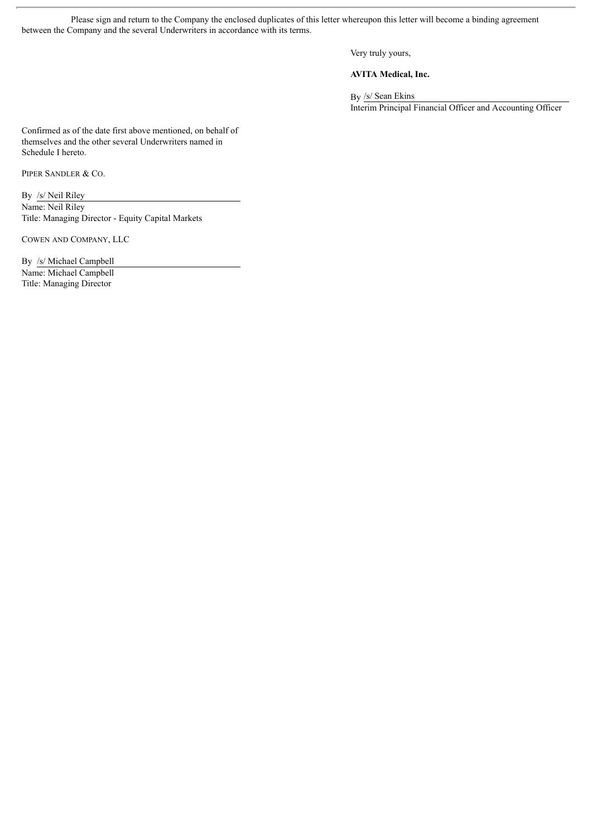Please sign and return to the Company the enclosed duplicates of this letter whereupon this letter will become a binding agreement between the Company and the several Underwriters in accordance with its terms.

Very truly yours,

## **AVITA Medical, Inc.**

By /s/ Sean Ekins

Interim Principal Financial Officer and Accounting Officer

Confirmed as of the date first above mentioned, on behalf of themselves and the other several Underwriters named in Schedule I hereto.

PIPER SANDLER & CO.

By /s/ Neil Riley Name: Neil Riley Title: Managing Director - Equity Capital Markets

COWEN AND COMPANY, LLC

By /s/ Michael Campbell Name: Michael Campbell Title: Managing Director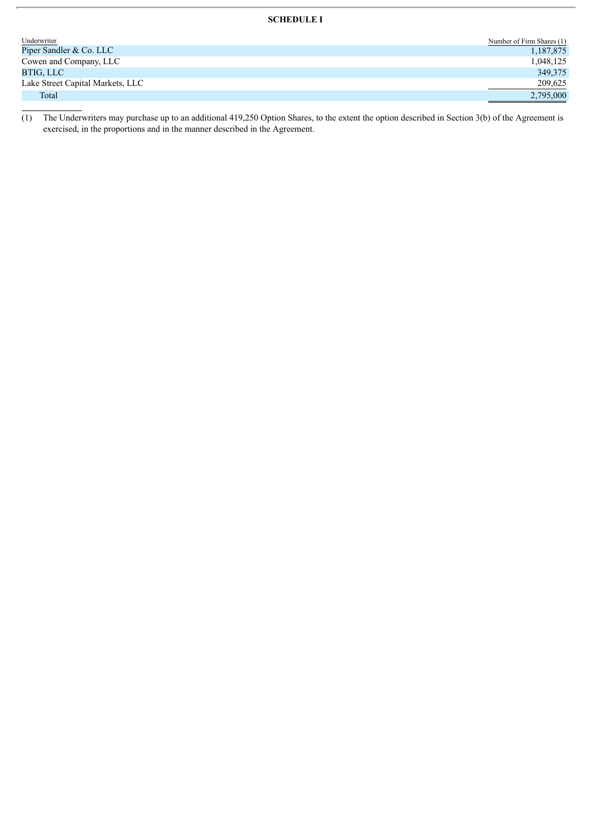## **SCHEDULE I**

| Underwriter                      | Number of Firm Shares (1) |
|----------------------------------|---------------------------|
| Piper Sandler & Co. LLC          | 1,187,875                 |
| Cowen and Company, LLC           | 1,048,125                 |
| BTIG, LLC                        | 349,375                   |
| Lake Street Capital Markets, LLC | 209,625                   |
| Total                            | 2,795,000                 |

<sup>(1)</sup> The Underwriters may purchase up to an additional 419,250 Option Shares, to the extent the option described in Section 3(b) of the Agreement is exercised, in the proportions and in the manner described in the Agreement.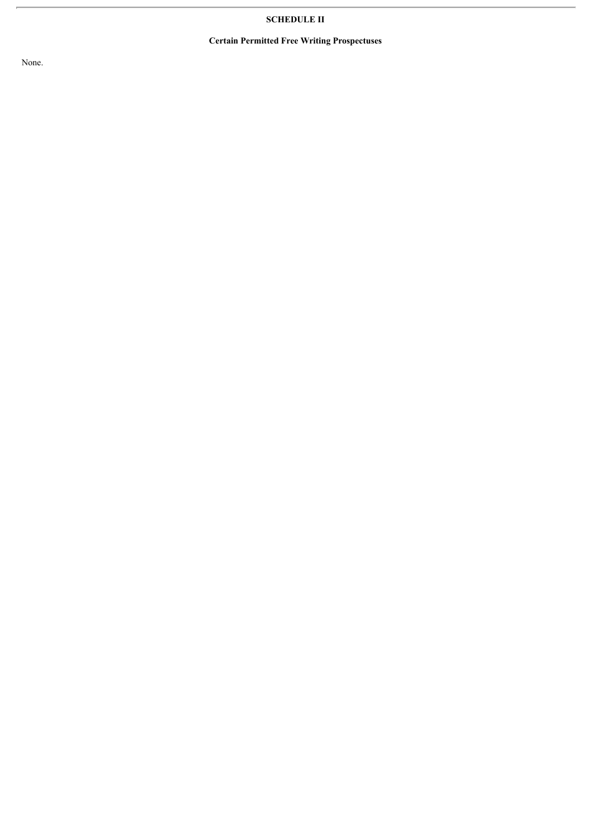## **SCHEDULE II**

## **Certain Permitted Free Writing Prospectuses**

None.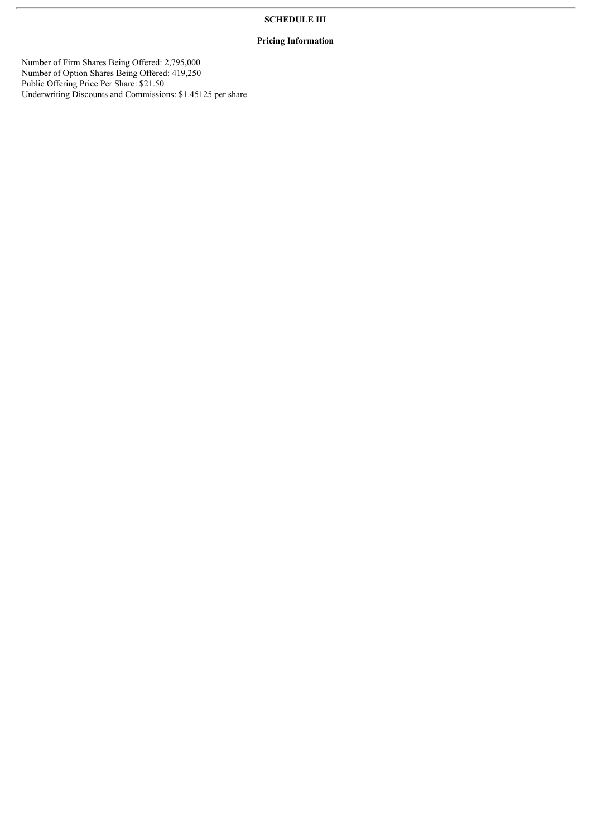## **SCHEDULE III**

## **Pricing Information**

Number of Firm Shares Being Offered: 2,795,000 Number of Option Shares Being Offered: 419,250 Public Offering Price Per Share: \$21.50 Underwriting Discounts and Commissions: \$1.45125 per share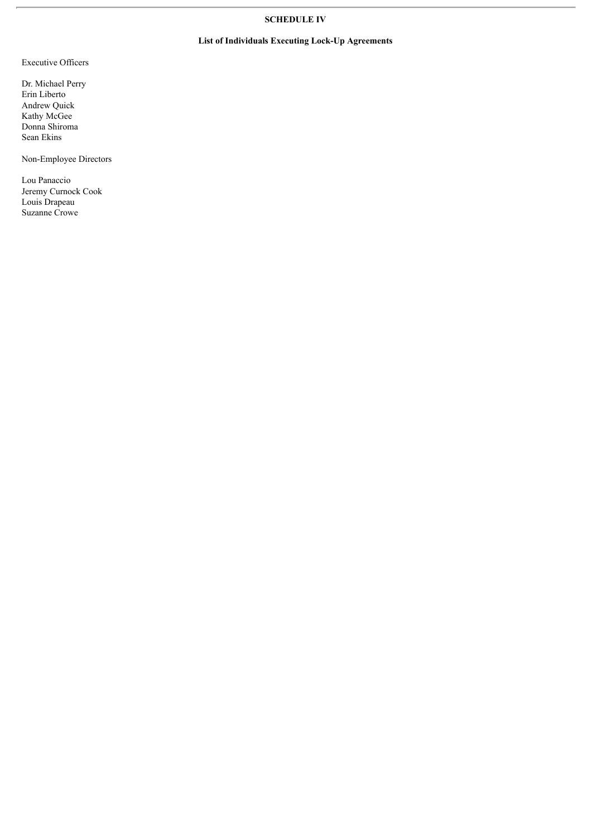## **SCHEDULE IV**

## **List of Individuals Executing Lock-Up Agreements**

Executive Officers

Dr. Michael Perry Erin Liberto Andrew Quick Kathy McGee Donna Shiroma Sean Ekins

Non-Employee Directors

Lou Panaccio Jeremy Curnock Cook Louis Drapeau Suzanne Crowe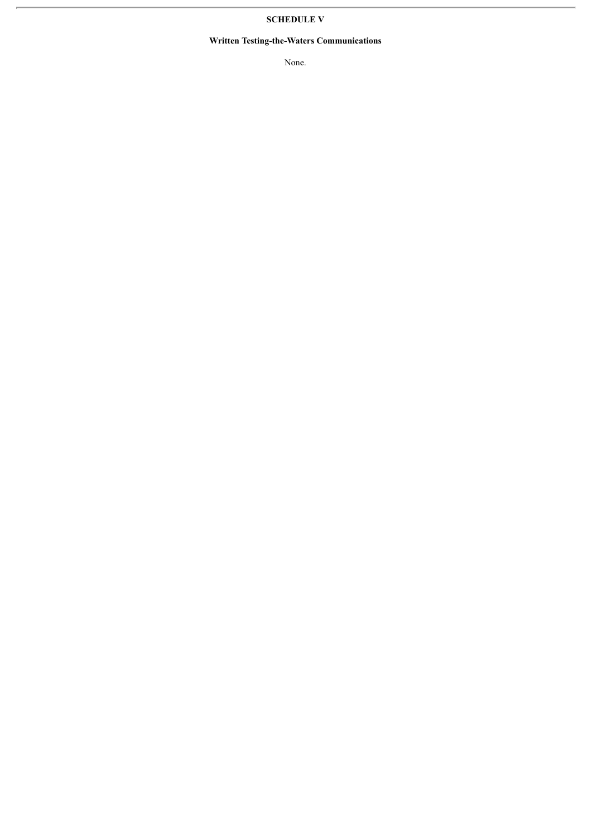## **SCHEDULE V**

## **Written Testing-the-Waters Communications**

None.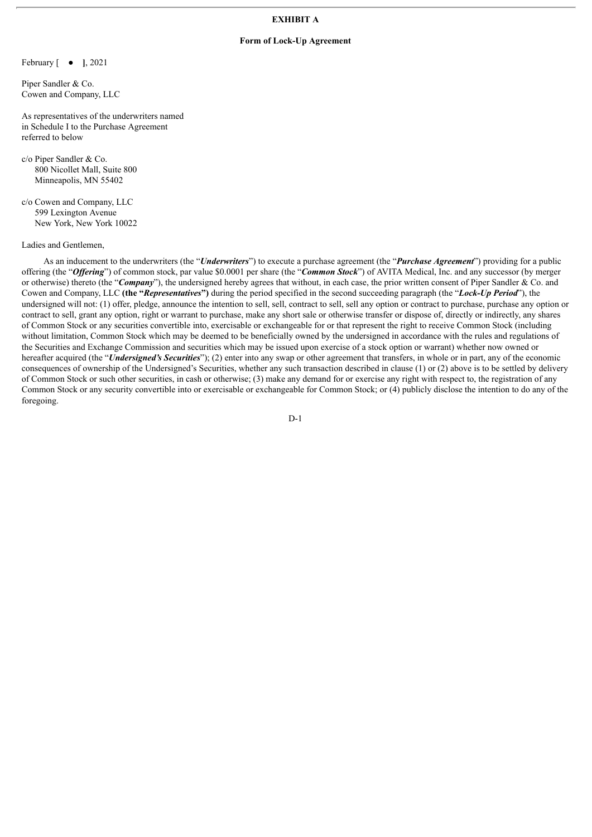#### **Form of Lock-Up Agreement**

February [ ● **]**, 2021

Piper Sandler & Co. Cowen and Company, LLC

As representatives of the underwriters named in Schedule I to the Purchase Agreement referred to below

c/o Piper Sandler & Co. 800 Nicollet Mall, Suite 800 Minneapolis, MN 55402

c/o Cowen and Company, LLC 599 Lexington Avenue New York, New York 10022

#### Ladies and Gentlemen,

As an inducement to the underwriters (the "*Underwriters*") to execute a purchase agreement (the "*Purchase Agreement*") providing for a public offering (the "*Of ering*") of common stock, par value \$0.0001 per share (the "*Common Stock*") of AVITA Medical, Inc. and any successor (by merger or otherwise) thereto (the "*Company*"), the undersigned hereby agrees that without, in each case, the prior written consent of Piper Sandler & Co. and Cowen and Company, LLC **(the "***Representatives***")** during the period specified in the second succeeding paragraph (the "*Lock-Up Period*"), the undersigned will not: (1) offer, pledge, announce the intention to sell, sell, contract to sell, sell any option or contract to purchase, purchase any option or contract to sell, grant any option, right or warrant to purchase, make any short sale or otherwise transfer or dispose of, directly or indirectly, any shares of Common Stock or any securities convertible into, exercisable or exchangeable for or that represent the right to receive Common Stock (including without limitation, Common Stock which may be deemed to be beneficially owned by the undersigned in accordance with the rules and regulations of the Securities and Exchange Commission and securities which may be issued upon exercise of a stock option or warrant) whether now owned or hereafter acquired (the "*Undersigned's Securities*"); (2) enter into any swap or other agreement that transfers, in whole or in part, any of the economic consequences of ownership of the Undersigned's Securities, whether any such transaction described in clause (1) or (2) above is to be settled by delivery of Common Stock or such other securities, in cash or otherwise; (3) make any demand for or exercise any right with respect to, the registration of any Common Stock or any security convertible into or exercisable or exchangeable for Common Stock; or (4) publicly disclose the intention to do any of the foregoing.

D-1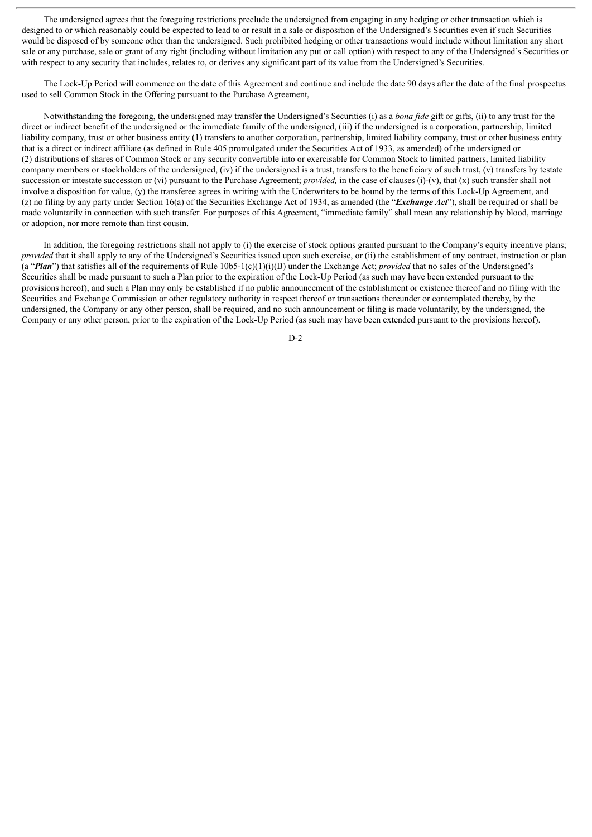The undersigned agrees that the foregoing restrictions preclude the undersigned from engaging in any hedging or other transaction which is designed to or which reasonably could be expected to lead to or result in a sale or disposition of the Undersigned's Securities even if such Securities would be disposed of by someone other than the undersigned. Such prohibited hedging or other transactions would include without limitation any short sale or any purchase, sale or grant of any right (including without limitation any put or call option) with respect to any of the Undersigned's Securities or with respect to any security that includes, relates to, or derives any significant part of its value from the Undersigned's Securities.

The Lock-Up Period will commence on the date of this Agreement and continue and include the date 90 days after the date of the final prospectus used to sell Common Stock in the Offering pursuant to the Purchase Agreement,

Notwithstanding the foregoing, the undersigned may transfer the Undersigned's Securities (i) as a *bona fide* gift or gifts, (ii) to any trust for the direct or indirect benefit of the undersigned or the immediate family of the undersigned, (iii) if the undersigned is a corporation, partnership, limited liability company, trust or other business entity (1) transfers to another corporation, partnership, limited liability company, trust or other business entity that is a direct or indirect affiliate (as defined in Rule 405 promulgated under the Securities Act of 1933, as amended) of the undersigned or (2) distributions of shares of Common Stock or any security convertible into or exercisable for Common Stock to limited partners, limited liability company members or stockholders of the undersigned, (iv) if the undersigned is a trust, transfers to the beneficiary of such trust, (v) transfers by testate succession or intestate succession or (vi) pursuant to the Purchase Agreement; *provided*, in the case of clauses (i)-(v), that (x) such transfer shall not involve a disposition for value, (y) the transferee agrees in writing with the Underwriters to be bound by the terms of this Lock-Up Agreement, and (z) no filing by any party under Section 16(a) of the Securities Exchange Act of 1934, as amended (the "*Exchange Act*"), shall be required or shall be made voluntarily in connection with such transfer. For purposes of this Agreement, "immediate family" shall mean any relationship by blood, marriage or adoption, nor more remote than first cousin.

In addition, the foregoing restrictions shall not apply to (i) the exercise of stock options granted pursuant to the Company's equity incentive plans; *provided* that it shall apply to any of the Undersigned's Securities issued upon such exercise, or (ii) the establishment of any contract, instruction or plan (a "*Plan*") that satisfies all of the requirements of Rule 10b5-1(c)(1)(i)(B) under the Exchange Act; *provided* that no sales of the Undersigned's Securities shall be made pursuant to such a Plan prior to the expiration of the Lock-Up Period (as such may have been extended pursuant to the provisions hereof), and such a Plan may only be established if no public announcement of the establishment or existence thereof and no filing with the Securities and Exchange Commission or other regulatory authority in respect thereof or transactions thereunder or contemplated thereby, by the undersigned, the Company or any other person, shall be required, and no such announcement or filing is made voluntarily, by the undersigned, the Company or any other person, prior to the expiration of the Lock-Up Period (as such may have been extended pursuant to the provisions hereof).

D-2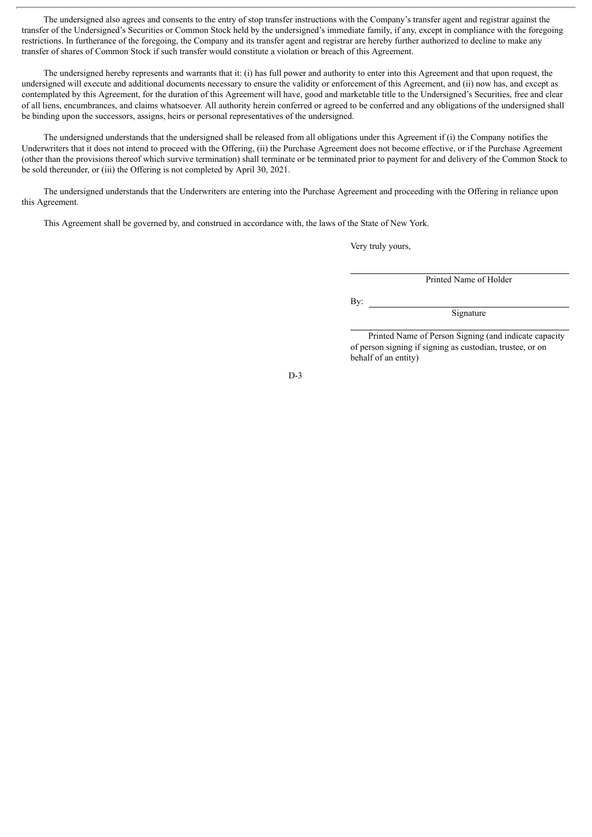The undersigned also agrees and consents to the entry of stop transfer instructions with the Company's transfer agent and registrar against the transfer of the Undersigned's Securities or Common Stock held by the undersigned's immediate family, if any, except in compliance with the foregoing restrictions. In furtherance of the foregoing, the Company and its transfer agent and registrar are hereby further authorized to decline to make any transfer of shares of Common Stock if such transfer would constitute a violation or breach of this Agreement.

The undersigned hereby represents and warrants that it: (i) has full power and authority to enter into this Agreement and that upon request, the undersigned will execute and additional documents necessary to ensure the validity or enforcement of this Agreement, and (ii) now has, and except as contemplated by this Agreement, for the duration of this Agreement will have, good and marketable title to the Undersigned's Securities, free and clear of all liens, encumbrances, and claims whatsoever. All authority herein conferred or agreed to be conferred and any obligations of the undersigned shall be binding upon the successors, assigns, heirs or personal representatives of the undersigned.

The undersigned understands that the undersigned shall be released from all obligations under this Agreement if (i) the Company notifies the Underwriters that it does not intend to proceed with the Offering, (ii) the Purchase Agreement does not become effective, or if the Purchase Agreement (other than the provisions thereof which survive termination) shall terminate or be terminated prior to payment for and delivery of the Common Stock to be sold thereunder, or (iii) the Offering is not completed by April 30, 2021.

The undersigned understands that the Underwriters are entering into the Purchase Agreement and proceeding with the Offering in reliance upon this Agreement.

This Agreement shall be governed by, and construed in accordance with, the laws of the State of New York.

Very truly yours,

By:

Printed Name of Holder

Signature

Printed Name of Person Signing (and indicate capacity of person signing if signing as custodian, trustee, or on behalf of an entity)

D-3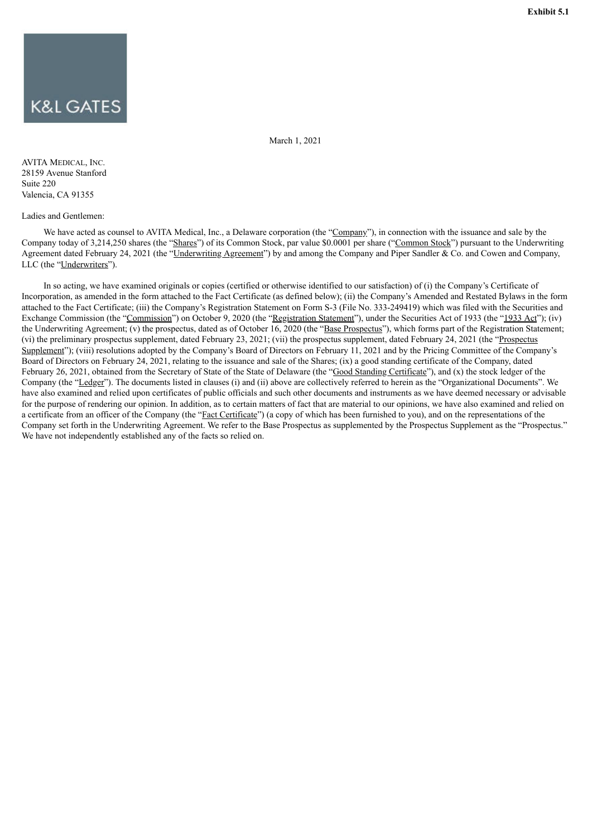<span id="page-49-0"></span>

March 1, 2021

AVITA MEDICAL, INC. 28159 Avenue Stanford Suite 220 Valencia, CA 91355

#### Ladies and Gentlemen:

We have acted as counsel to AVITA Medical, Inc., a Delaware corporation (the "Company"), in connection with the issuance and sale by the Company today of 3,214,250 shares (the "Shares") of its Common Stock, par value \$0.0001 per share ("Common Stock") pursuant to the Underwriting Agreement dated February 24, 2021 (the "Underwriting Agreement") by and among the Company and Piper Sandler & Co. and Cowen and Company, LLC (the "Underwriters").

In so acting, we have examined originals or copies (certified or otherwise identified to our satisfaction) of (i) the Company's Certificate of Incorporation, as amended in the form attached to the Fact Certificate (as defined below); (ii) the Company's Amended and Restated Bylaws in the form attached to the Fact Certificate; (iii) the Company's Registration Statement on Form S-3 (File No. 333-249419) which was filed with the Securities and Exchange Commission (the "Commission") on October 9, 2020 (the "Registration Statement"), under the Securities Act of 1933 (the "1933 Act"); (iv) the Underwriting Agreement; (v) the prospectus, dated as of October 16, 2020 (the "Base Prospectus"), which forms part of the Registration Statement; (vi) the preliminary prospectus supplement, dated February 23, 2021; (vii) the prospectus supplement, dated February 24, 2021 (the "Prospectus Supplement"); (viii) resolutions adopted by the Company's Board of Directors on February 11, 2021 and by the Pricing Committee of the Company's Board of Directors on February 24, 2021, relating to the issuance and sale of the Shares; (ix) a good standing certificate of the Company, dated February 26, 2021, obtained from the Secretary of State of the State of Delaware (the "Good Standing Certificate"), and (x) the stock ledger of the Company (the "Ledger"). The documents listed in clauses (i) and (ii) above are collectively referred to herein as the "Organizational Documents". We have also examined and relied upon certificates of public officials and such other documents and instruments as we have deemed necessary or advisable for the purpose of rendering our opinion. In addition, as to certain matters of fact that are material to our opinions, we have also examined and relied on a certificate from an officer of the Company (the "Fact Certificate") (a copy of which has been furnished to you), and on the representations of the Company set forth in the Underwriting Agreement. We refer to the Base Prospectus as supplemented by the Prospectus Supplement as the "Prospectus." We have not independently established any of the facts so relied on.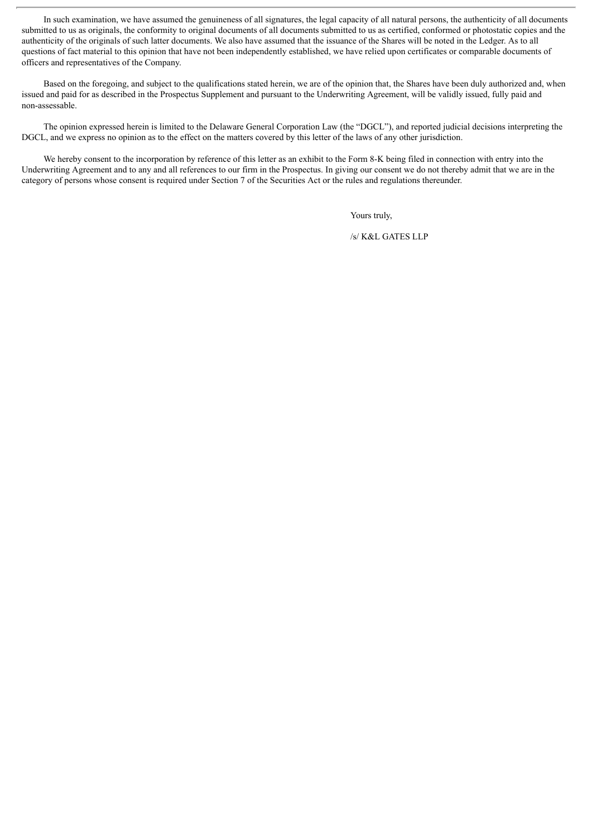In such examination, we have assumed the genuineness of all signatures, the legal capacity of all natural persons, the authenticity of all documents submitted to us as originals, the conformity to original documents of all documents submitted to us as certified, conformed or photostatic copies and the authenticity of the originals of such latter documents. We also have assumed that the issuance of the Shares will be noted in the Ledger. As to all questions of fact material to this opinion that have not been independently established, we have relied upon certificates or comparable documents of officers and representatives of the Company.

Based on the foregoing, and subject to the qualifications stated herein, we are of the opinion that, the Shares have been duly authorized and, when issued and paid for as described in the Prospectus Supplement and pursuant to the Underwriting Agreement, will be validly issued, fully paid and non-assessable.

The opinion expressed herein is limited to the Delaware General Corporation Law (the "DGCL"), and reported judicial decisions interpreting the DGCL, and we express no opinion as to the effect on the matters covered by this letter of the laws of any other jurisdiction.

We hereby consent to the incorporation by reference of this letter as an exhibit to the Form 8-K being filed in connection with entry into the Underwriting Agreement and to any and all references to our firm in the Prospectus. In giving our consent we do not thereby admit that we are in the category of persons whose consent is required under Section 7 of the Securities Act or the rules and regulations thereunder.

Yours truly,

/s/ K&L GATES LLP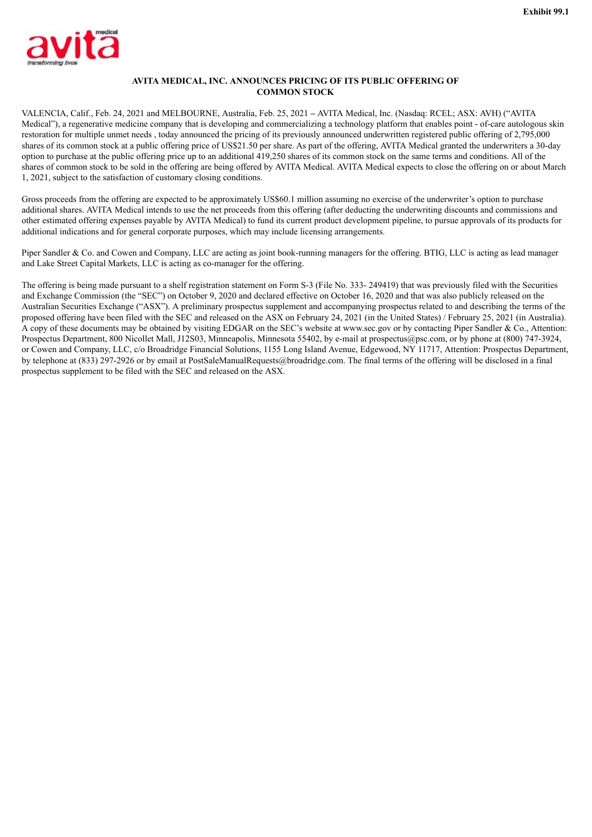<span id="page-51-0"></span>

## **AVITA MEDICAL, INC. ANNOUNCES PRICING OF ITS PUBLIC OFFERING OF COMMON STOCK**

VALENCIA, Calif., Feb. 24, 2021 and MELBOURNE, Australia, Feb. 25, 2021 **–** AVITA Medical, Inc. (Nasdaq: RCEL; ASX: AVH) ("AVITA Medical"), a regenerative medicine company that is developing and commercializing a technology platform that enables point - of-care autologous skin restoration for multiple unmet needs , today announced the pricing of its previously announced underwritten registered public offering of 2,795,000 shares of its common stock at a public offering price of US\$21.50 per share. As part of the offering, AVITA Medical granted the underwriters a 30-day option to purchase at the public offering price up to an additional 419,250 shares of its common stock on the same terms and conditions. All of the shares of common stock to be sold in the offering are being offered by AVITA Medical. AVITA Medical expects to close the offering on or about March 1, 2021, subject to the satisfaction of customary closing conditions.

Gross proceeds from the offering are expected to be approximately US\$60.1 million assuming no exercise of the underwriter's option to purchase additional shares. AVITA Medical intends to use the net proceeds from this offering (after deducting the underwriting discounts and commissions and other estimated offering expenses payable by AVITA Medical) to fund its current product development pipeline, to pursue approvals of its products for additional indications and for general corporate purposes, which may include licensing arrangements.

Piper Sandler & Co. and Cowen and Company, LLC are acting as joint book-running managers for the offering. BTIG, LLC is acting as lead manager and Lake Street Capital Markets, LLC is acting as co-manager for the offering.

The offering is being made pursuant to a shelf registration statement on Form S-3 (File No. 333- 249419) that was previously filed with the Securities and Exchange Commission (the "SEC") on October 9, 2020 and declared effective on October 16, 2020 and that was also publicly released on the Australian Securities Exchange ("ASX"). A preliminary prospectus supplement and accompanying prospectus related to and describing the terms of the proposed offering have been filed with the SEC and released on the ASX on February 24, 2021 (in the United States) / February 25, 2021 (in Australia). A copy of these documents may be obtained by visiting EDGAR on the SEC's website at www.sec.gov or by contacting Piper Sandler & Co., Attention: Prospectus Department, 800 Nicollet Mall, J12S03, Minneapolis, Minnesota 55402, by e-mail at prospectus@psc.com, or by phone at (800) 747-3924, or Cowen and Company, LLC, c/o Broadridge Financial Solutions, 1155 Long Island Avenue, Edgewood, NY 11717, Attention: Prospectus Department, by telephone at (833) 297-2926 or by email at PostSaleManualRequests@broadridge.com. The final terms of the offering will be disclosed in a final prospectus supplement to be filed with the SEC and released on the ASX.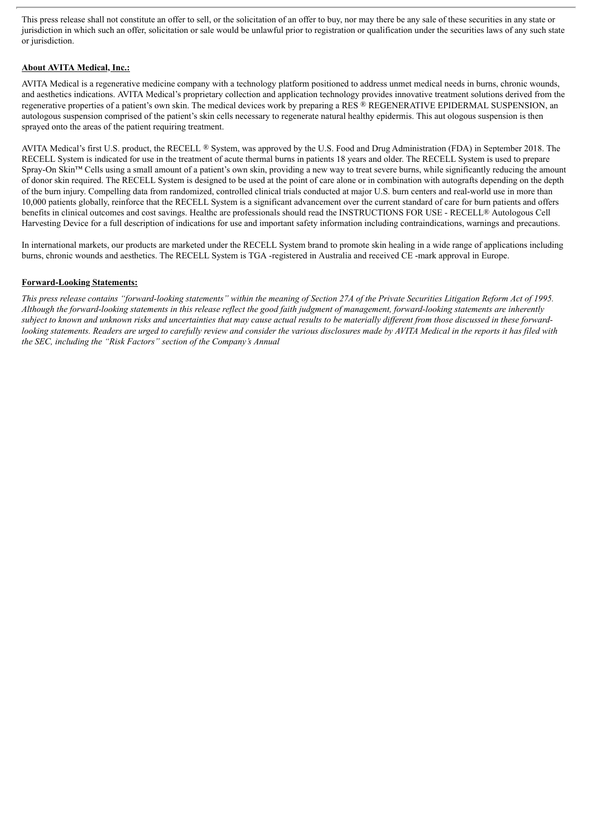This press release shall not constitute an offer to sell, or the solicitation of an offer to buy, nor may there be any sale of these securities in any state or jurisdiction in which such an offer, solicitation or sale would be unlawful prior to registration or qualification under the securities laws of any such state or jurisdiction.

## **About AVITA Medical, Inc.:**

AVITA Medical is a regenerative medicine company with a technology platform positioned to address unmet medical needs in burns, chronic wounds, and aesthetics indications. AVITA Medical's proprietary collection and application technology provides innovative treatment solutions derived from the regenerative properties of a patient's own skin. The medical devices work by preparing a RES ® REGENERATIVE EPIDERMAL SUSPENSION, an autologous suspension comprised of the patient's skin cells necessary to regenerate natural healthy epidermis. This aut ologous suspension is then sprayed onto the areas of the patient requiring treatment.

AVITA Medical's first U.S. product, the RECELL ® System, was approved by the U.S. Food and Drug Administration (FDA) in September 2018. The RECELL System is indicated for use in the treatment of acute thermal burns in patients 18 years and older. The RECELL System is used to prepare Spray-On Skin<sup>™</sup> Cells using a small amount of a patient's own skin, providing a new way to treat severe burns, while significantly reducing the amount of donor skin required. The RECELL System is designed to be used at the point of care alone or in combination with autografts depending on the depth of the burn injury. Compelling data from randomized, controlled clinical trials conducted at major U.S. burn centers and real-world use in more than 10,000 patients globally, reinforce that the RECELL System is a significant advancement over the current standard of care for burn patients and offers benefits in clinical outcomes and cost savings. Healthc are professionals should read the INSTRUCTIONS FOR USE - RECELL® Autologous Cell Harvesting Device for a full description of indications for use and important safety information including contraindications, warnings and precautions.

In international markets, our products are marketed under the RECELL System brand to promote skin healing in a wide range of applications including burns, chronic wounds and aesthetics. The RECELL System is TGA -registered in Australia and received CE -mark approval in Europe.

## **Forward-Looking Statements:**

This press release contains "forward-looking statements" within the meaning of Section 27A of the Private Securities Litigation Reform Act of 1995. Although the forward-looking statements in this release reflect the good faith judgment of management, forward-looking statements are inherently subject to known and unknown risks and uncertainties that may cause actual results to be materially different from those discussed in these forwardlooking statements. Readers are urged to carefully review and consider the various disclosures made by AVITA Medical in the reports it has filed with *the SEC, including the "Risk Factors" section of the Company's Annual*